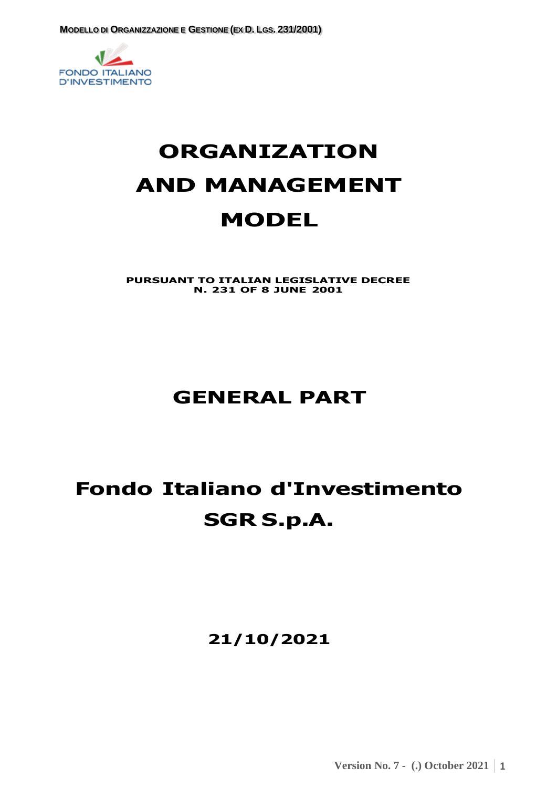

# **ORGANIZATION AND MANAGEMENT MODEL**

**PURSUANT TO ITALIAN LEGISLATIVE DECREE N. 231 OF 8 JUNE 2001**

# **GENERAL PART**

# **Fondo Italiano d'Investimento SGR S.p.A.**

**21/10/2021**

**Version No. 7 - (.) October 2021 1**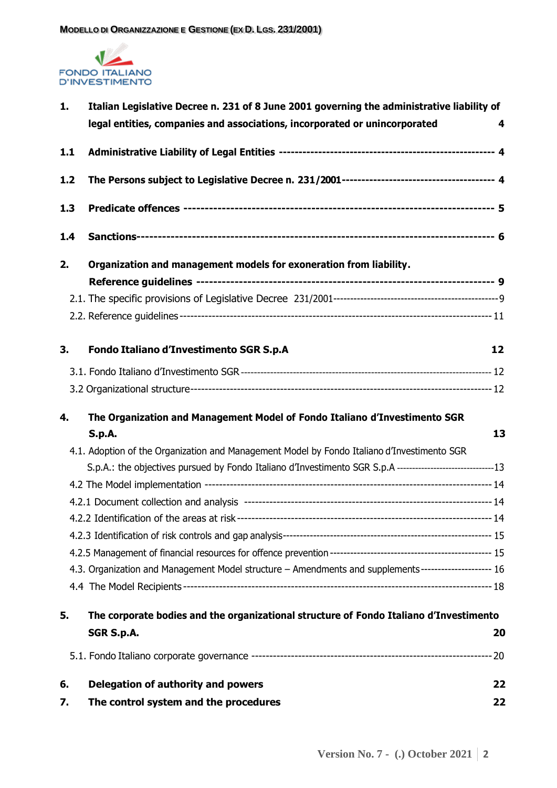

| 1.  | Italian Legislative Decree n. 231 of 8 June 2001 governing the administrative liability of                    |    |  |
|-----|---------------------------------------------------------------------------------------------------------------|----|--|
|     | legal entities, companies and associations, incorporated or unincorporated                                    | 4  |  |
| 1.1 |                                                                                                               |    |  |
| 1.2 |                                                                                                               |    |  |
| 1.3 |                                                                                                               |    |  |
| 1.4 |                                                                                                               |    |  |
| 2.  | Organization and management models for exoneration from liability.                                            |    |  |
|     |                                                                                                               |    |  |
|     |                                                                                                               |    |  |
|     |                                                                                                               |    |  |
| 3.  | Fondo Italiano d'Investimento SGR S.p.A                                                                       | 12 |  |
|     |                                                                                                               |    |  |
|     |                                                                                                               |    |  |
| 4.  | The Organization and Management Model of Fondo Italiano d'Investimento SGR                                    |    |  |
|     | <b>S.p.A.</b>                                                                                                 | 13 |  |
|     | 4.1. Adoption of the Organization and Management Model by Fondo Italiano d'Investimento SGR                   |    |  |
|     | S.p.A.: the objectives pursued by Fondo Italiano d'Investimento SGR S.p.A ---------------------------------13 |    |  |
|     |                                                                                                               |    |  |
|     |                                                                                                               |    |  |
|     |                                                                                                               |    |  |
|     |                                                                                                               |    |  |
|     |                                                                                                               |    |  |
|     | 4.3. Organization and Management Model structure - Amendments and supplements-------------------- 16          |    |  |
|     |                                                                                                               |    |  |
| 5.  | The corporate bodies and the organizational structure of Fondo Italiano d'Investimento                        |    |  |
|     | SGR S.p.A.                                                                                                    | 20 |  |
|     |                                                                                                               |    |  |
| 6.  | <b>Delegation of authority and powers</b>                                                                     | 22 |  |
| 7.  | The control system and the procedures                                                                         | 22 |  |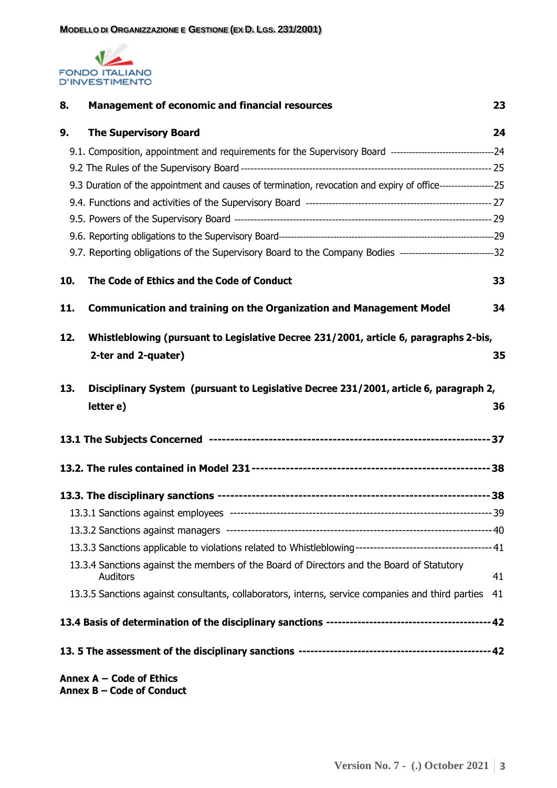

| 8.                                                                                           | <b>Management of economic and financial resources</b>                                                          | 23 |  |
|----------------------------------------------------------------------------------------------|----------------------------------------------------------------------------------------------------------------|----|--|
| 9.                                                                                           | <b>The Supervisory Board</b>                                                                                   | 24 |  |
|                                                                                              |                                                                                                                |    |  |
|                                                                                              |                                                                                                                |    |  |
|                                                                                              | 9.3 Duration of the appointment and causes of termination, revocation and expiry of office------------------25 |    |  |
|                                                                                              |                                                                                                                |    |  |
|                                                                                              |                                                                                                                |    |  |
|                                                                                              |                                                                                                                |    |  |
|                                                                                              | 9.7. Reporting obligations of the Supervisory Board to the Company Bodies ------------------------------32     |    |  |
| 10.                                                                                          | The Code of Ethics and the Code of Conduct                                                                     | 33 |  |
| 11.                                                                                          | <b>Communication and training on the Organization and Management Model</b>                                     | 34 |  |
| Whistleblowing (pursuant to Legislative Decree 231/2001, article 6, paragraphs 2-bis,<br>12. |                                                                                                                |    |  |
|                                                                                              | 2-ter and 2-quater)                                                                                            | 35 |  |
| Disciplinary System (pursuant to Legislative Decree 231/2001, article 6, paragraph 2,<br>13. |                                                                                                                |    |  |
|                                                                                              | letter e)                                                                                                      | 36 |  |
|                                                                                              |                                                                                                                |    |  |
|                                                                                              |                                                                                                                |    |  |
|                                                                                              |                                                                                                                |    |  |
|                                                                                              |                                                                                                                |    |  |
|                                                                                              |                                                                                                                |    |  |
|                                                                                              |                                                                                                                |    |  |
|                                                                                              | 13.3.4 Sanctions against the members of the Board of Directors and the Board of Statutory<br><b>Auditors</b>   | 41 |  |
|                                                                                              | 13.3.5 Sanctions against consultants, collaborators, interns, service companies and third parties              | 41 |  |
|                                                                                              |                                                                                                                |    |  |
|                                                                                              |                                                                                                                |    |  |
|                                                                                              | Annex A - Code of Ethics                                                                                       |    |  |

**Annex B – Code of Conduct**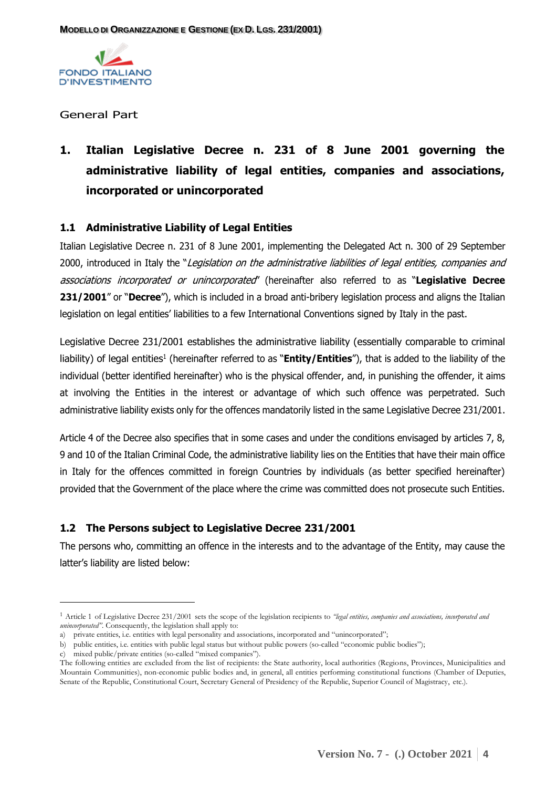

#### General Part

# **1. Italian Legislative Decree n. 231 of 8 June 2001 governing the administrative liability of legal entities, companies and associations, incorporated or unincorporated**

#### <span id="page-3-0"></span>**1.1 Administrative Liability of Legal Entities**

Italian Legislative Decree n. 231 of 8 June 2001, implementing the Delegated Act n. 300 of 29 September 2000, introduced in Italy the "Legislation on the administrative liabilities of legal entities, companies and associations incorporated or unincorporated" (hereinafter also referred to as "**Legislative Decree 231/2001**" or "**Decree**"), which is included in a broad anti-bribery legislation process and aligns the Italian legislation on legal entities' liabilities to a few International Conventions signed by Italy in the past.

Legislative Decree 231/2001 establishes the administrative liability (essentially comparable to criminal liability) of legal entities<sup>1</sup> (hereinafter referred to as "**Entity/Entities**"), that is added to the liability of the individual (better identified hereinafter) who is the physical offender, and, in punishing the offender, it aims at involving the Entities in the interest or advantage of which such offence was perpetrated. Such administrative liability exists only for the offences mandatorily listed in the same Legislative Decree 231/2001.

Article 4 of the Decree also specifies that in some cases and under the conditions envisaged by articles 7, 8, 9 and 10 of the Italian Criminal Code, the administrative liability lies on the Entities that have their main office in Italy for the offences committed in foreign Countries by individuals (as better specified hereinafter) provided that the Government of the place where the crime was committed does not prosecute such Entities.

## <span id="page-3-1"></span>**1.2 The Persons subject to Legislative Decree 231/2001**

The persons who, committing an offence in the interests and to the advantage of the Entity, may cause the latter's liability are listed below:

<sup>1</sup> Article 1 of Legislative Decree 231/2001 sets the scope of the legislation recipients to *"legal entities, companies and associations, incorporated and unincorporated"*. Consequently, the legislation shall apply to:

a) private entities, i.e. entities with legal personality and associations, incorporated and "unincorporated";

b) public entities, i.e. entities with public legal status but without public powers (so-called "economic public bodies");

c) mixed public/private entities (so-called "mixed companies").

The following entities are excluded from the list of recipients: the State authority, local authorities (Regions, Provinces, Municipalities and Mountain Communities), non-economic public bodies and, in general, all entities performing constitutional functions (Chamber of Deputies, Senate of the Republic, Constitutional Court, Secretary General of Presidency of the Republic, Superior Council of Magistracy, etc.).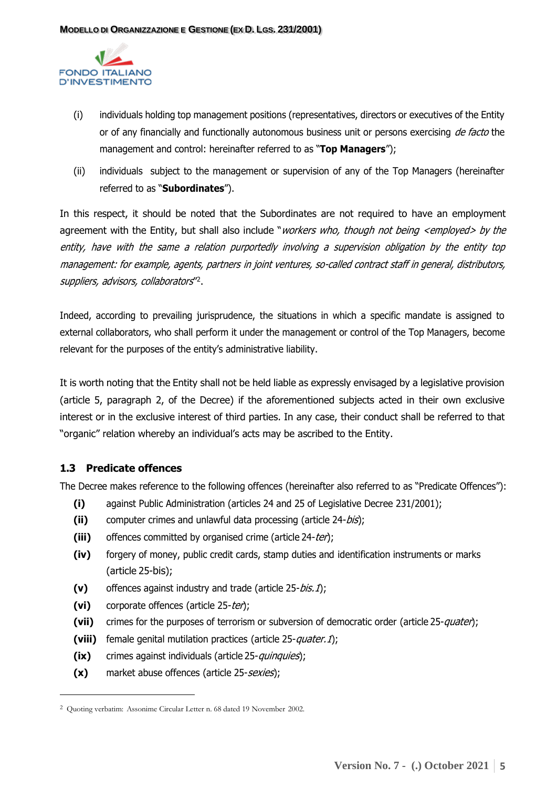

- (i) individuals holding top management positions (representatives, directors or executives of the Entity or of any financially and functionally autonomous business unit or persons exercising de facto the management and control: hereinafter referred to as "**Top Managers**");
- (ii) individuals subject to the management or supervision of any of the Top Managers (hereinafter referred to as "**Subordinates**").

In this respect, it should be noted that the Subordinates are not required to have an employment agreement with the Entity, but shall also include "workers who, though not being <employed> by the entity, have with the same a relation purportedly involving a supervision obligation by the entity top management: for example, agents, partners in joint ventures, so-called contract staff in general, distributors, suppliers, advisors, collaborators" 2 .

Indeed, according to prevailing jurisprudence, the situations in which a specific mandate is assigned to external collaborators, who shall perform it under the management or control of the Top Managers, become relevant for the purposes of the entity's administrative liability.

It is worth noting that the Entity shall not be held liable as expressly envisaged by a legislative provision (article 5, paragraph 2, of the Decree) if the aforementioned subjects acted in their own exclusive interest or in the exclusive interest of third parties. In any case, their conduct shall be referred to that "organic" relation whereby an individual's acts may be ascribed to the Entity.

# <span id="page-4-0"></span>**1.3 Predicate offences**

The Decree makes reference to the following offences (hereinafter also referred to as "Predicate Offences"):

- **(i)** against Public Administration (articles 24 and 25 of Legislative Decree 231/2001);
- (ii) computer crimes and unlawful data processing (article 24-*bis*);
- (iii) offences committed by organised crime (article 24-ter);
- **(iv)** forgery of money, public credit cards, stamp duties and identification instruments or marks (article 25-bis);
- **(v)** offences against industry and trade (article 25-bis.1);
- (vi) corporate offences (article 25-ter);
- **(vii)** crimes for the purposes of terrorism or subversion of democratic order (article 25-quater);
- **(viii)** female genital mutilation practices (article 25-quater.1);
- **(ix)** crimes against individuals (article 25-*quinquies*);
- (x) market abuse offences (article 25-sexies);

<sup>2</sup> Quoting verbatim: Assonime Circular Letter n. 68 dated 19 November 2002.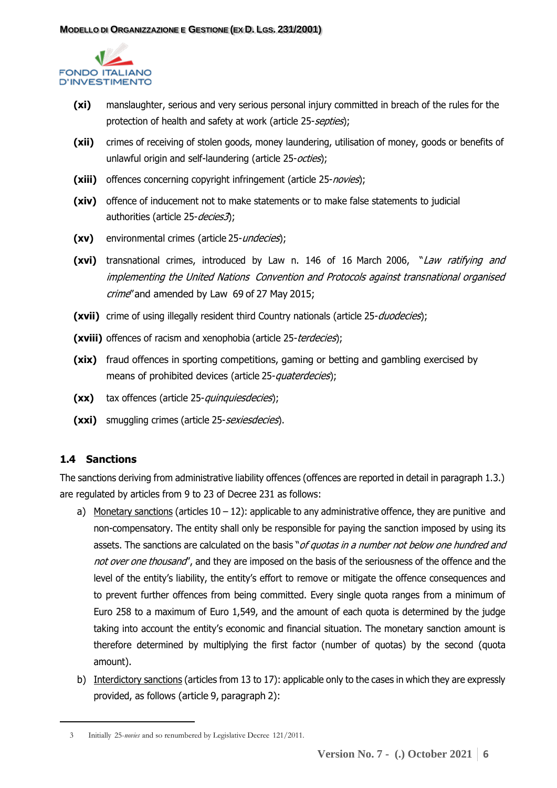

- **(xi)** manslaughter, serious and very serious personal injury committed in breach of the rules for the protection of health and safety at work (article 25-septies);
- **(xii)** crimes of receiving of stolen goods, money laundering, utilisation of money, goods or benefits of unlawful origin and self-laundering (article 25-octies);
- (xiii) offences concerning copyright infringement (article 25-novies);
- **(xiv)** offence of inducement not to make statements or to make false statements to judicial authorities (article 25-decies3);
- **(xv)** environmental crimes (article 25-undecies);
- **(xvi)** transnational crimes, introduced by Law n. 146 of 16 March 2006, "Law ratifying and implementing the United Nations Convention and Protocols against transnational organised crime" and amended by Law 69 of 27 May 2015;
- **(xvii)** crime of using illegally resident third Country nationals (article 25-*duodecies*);
- **(xviii)** offences of racism and xenophobia (article 25-terdecies);
- **(xix)** fraud offences in sporting competitions, gaming or betting and gambling exercised by means of prohibited devices (article 25-quaterdecies);
- **(xx)** tax offences (article 25-quinquiesdecies);
- **(xxi)** smuggling crimes (article 25-sexiesdecies).

## <span id="page-5-0"></span>**1.4 Sanctions**

The sanctions deriving from administrative liability offences (offences are reported in detail in paragraph 1.3.) are regulated by articles from 9 to 23 of Decree 231 as follows:

- a) Monetary sanctions (articles  $10 12$ ): applicable to any administrative offence, they are punitive and non-compensatory. The entity shall only be responsible for paying the sanction imposed by using its assets. The sanctions are calculated on the basis "of quotas in a number not below one hundred and not over one thousand", and they are imposed on the basis of the seriousness of the offence and the level of the entity's liability, the entity's effort to remove or mitigate the offence consequences and to prevent further offences from being committed. Every single quota ranges from a minimum of Euro 258 to a maximum of Euro 1,549, and the amount of each quota is determined by the judge taking into account the entity's economic and financial situation. The monetary sanction amount is therefore determined by multiplying the first factor (number of quotas) by the second (quota amount).
- b) Interdictory sanctions (articles from 13 to 17): applicable only to the cases in which they are expressly provided, as follows (article 9, paragraph 2):

<sup>3</sup> Initially 25-*novies* and so renumbered by Legislative Decree 121/2011.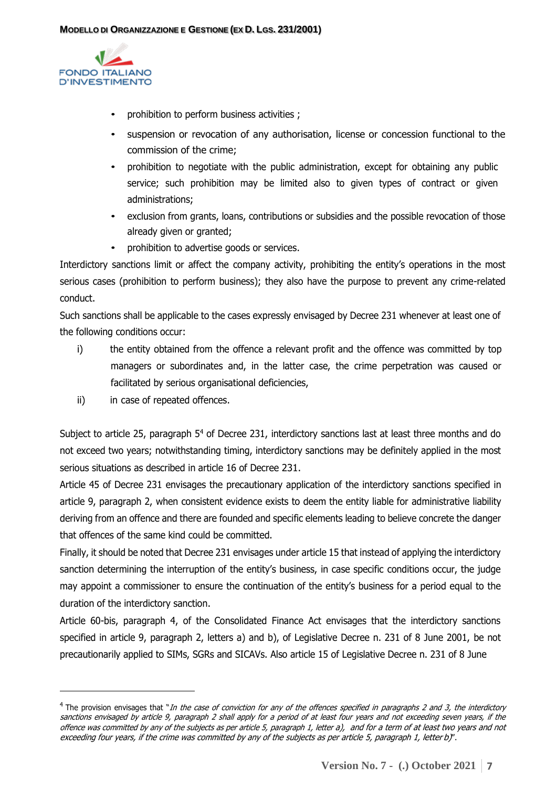

- prohibition to perform business activities ;
- suspension or revocation of any authorisation, license or concession functional to the commission of the crime;
- prohibition to negotiate with the public administration, except for obtaining any public service; such prohibition may be limited also to given types of contract or given administrations;
- exclusion from grants, loans, contributions or subsidies and the possible revocation of those already given or granted;
- prohibition to advertise goods or services.

Interdictory sanctions limit or affect the company activity, prohibiting the entity's operations in the most serious cases (prohibition to perform business); they also have the purpose to prevent any crime-related conduct.

Such sanctions shall be applicable to the cases expressly envisaged by Decree 231 whenever at least one of the following conditions occur:

- i) the entity obtained from the offence a relevant profit and the offence was committed by top managers or subordinates and, in the latter case, the crime perpetration was caused or facilitated by serious organisational deficiencies,
- ii) in case of repeated offences.

Subject to article 25, paragraph 5<sup>4</sup> of Decree 231, interdictory sanctions last at least three months and do not exceed two years; notwithstanding timing, interdictory sanctions may be definitely applied in the most serious situations as described in article 16 of Decree 231.

Article 45 of Decree 231 envisages the precautionary application of the interdictory sanctions specified in article 9, paragraph 2, when consistent evidence exists to deem the entity liable for administrative liability deriving from an offence and there are founded and specific elements leading to believe concrete the danger that offences of the same kind could be committed.

Finally, it should be noted that Decree 231 envisages under article 15 that instead of applying the interdictory sanction determining the interruption of the entity's business, in case specific conditions occur, the judge may appoint a commissioner to ensure the continuation of the entity's business for a period equal to the duration of the interdictory sanction.

Article 60-bis, paragraph 4, of the Consolidated Finance Act envisages that the interdictory sanctions specified in article 9, paragraph 2, letters a) and b), of Legislative Decree n. 231 of 8 June 2001, be not precautionarily applied to SIMs, SGRs and SICAVs. Also article 15 of Legislative Decree n. 231 of 8 June

 $^4$  The provision envisages that "In the case of conviction for any of the offences specified in paragraphs 2 and 3, the interdictory sanctions envisaged by article 9, paragraph 2 shall apply for a period of at least four years and not exceeding seven years, if the offence was committed by any of the subjects as per article 5, paragraph 1, letter a), and for <sup>a</sup> term of at least two years and not exceeding four years, if the crime was committed by any of the subjects as per article 5, paragraph 1, letter b)'.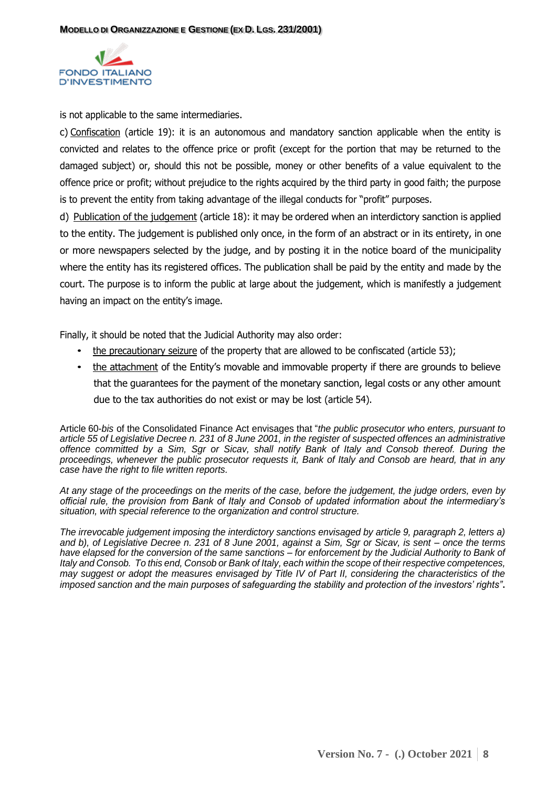

is not applicable to the same intermediaries.

c) Confiscation (article 19): it is an autonomous and mandatory sanction applicable when the entity is convicted and relates to the offence price or profit (except for the portion that may be returned to the damaged subject) or, should this not be possible, money or other benefits of a value equivalent to the offence price or profit; without prejudice to the rights acquired by the third party in good faith; the purpose is to prevent the entity from taking advantage of the illegal conducts for "profit" purposes.

d) Publication of the judgement (article 18): it may be ordered when an interdictory sanction is applied to the entity. The judgement is published only once, in the form of an abstract or in its entirety, in one or more newspapers selected by the judge, and by posting it in the notice board of the municipality where the entity has its registered offices. The publication shall be paid by the entity and made by the court. The purpose is to inform the public at large about the judgement, which is manifestly a judgement having an impact on the entity's image.

Finally, it should be noted that the Judicial Authority may also order:

- the precautionary seizure of the property that are allowed to be confiscated (article 53);
- the attachment of the Entity's movable and immovable property if there are grounds to believe that the guarantees for the payment of the monetary sanction, legal costs or any other amount due to the tax authorities do not exist or may be lost (article 54).

Article 60-*bis* of the Consolidated Finance Act envisages that "*the public prosecutor who enters, pursuant to article 55 of Legislative Decree n. 231 of 8 June 2001, in the register of suspected offences an administrative offence committed by a Sim, Sgr or Sicav, shall notify Bank of Italy and Consob thereof. During the proceedings, whenever the public prosecutor requests it, Bank of Italy and Consob are heard, that in any case have the right to file written reports.*

*At any stage of the proceedings on the merits of the case, before the judgement, the judge orders, even by official rule, the provision from Bank of Italy and Consob of updated information about the intermediary's situation, with special reference to the organization and control structure.*

*The irrevocable judgement imposing the interdictory sanctions envisaged by article 9, paragraph 2, letters a) and b), of Legislative Decree n. 231 of 8 June 2001, against a Sim, Sgr or Sicav, is sent – once the terms have elapsed for the conversion of the same sanctions – for enforcement by the Judicial Authority to Bank of Italy and Consob. To this end, Consob or Bank of Italy, each within the scope of their respective competences, may suggest or adopt the measures envisaged by Title IV of Part II, considering the characteristics of the imposed sanction and the main purposes of safeguarding the stability and protection of the investors' rights"*.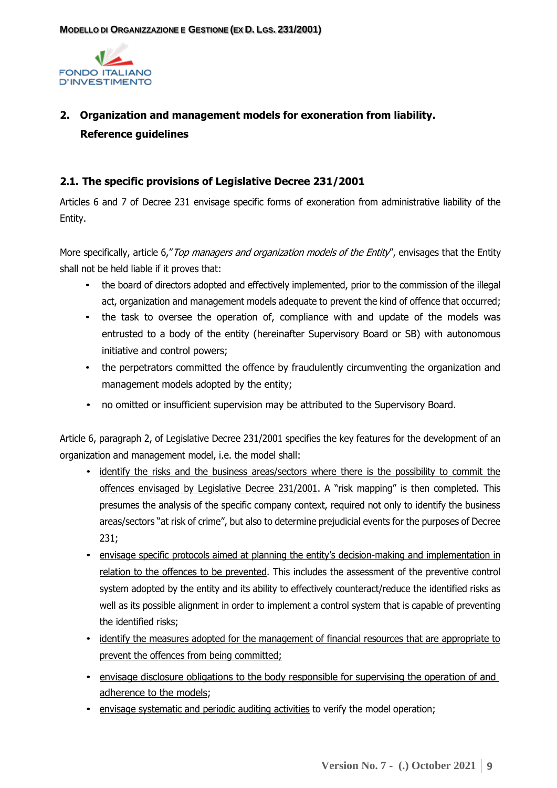

# <span id="page-8-0"></span>**2. Organization and management models for exoneration from liability. Reference guidelines**

#### <span id="page-8-1"></span>**2.1. The specific provisions of Legislative Decree 231/2001**

Articles 6 and 7 of Decree 231 envisage specific forms of exoneration from administrative liability of the Entity.

More specifically, article 6," Top managers and organization models of the Entity", envisages that the Entity shall not be held liable if it proves that:

- the board of directors adopted and effectively implemented, prior to the commission of the illegal act, organization and management models adequate to prevent the kind of offence that occurred;
- the task to oversee the operation of, compliance with and update of the models was entrusted to a body of the entity (hereinafter Supervisory Board or SB) with autonomous initiative and control powers;
- the perpetrators committed the offence by fraudulently circumventing the organization and management models adopted by the entity;
- no omitted or insufficient supervision may be attributed to the Supervisory Board.

Article 6, paragraph 2, of Legislative Decree 231/2001 specifies the key features for the development of an organization and management model, i.e. the model shall:

- identify the risks and the business areas/sectors where there is the possibility to commit the offences envisaged by Legislative Decree 231/2001. A "risk mapping" is then completed. This presumes the analysis of the specific company context, required not only to identify the business areas/sectors "at risk of crime", but also to determine prejudicial events for the purposes of Decree 231;
- envisage specific protocols aimed at planning the entity's decision-making and implementation in relation to the offences to be prevented. This includes the assessment of the preventive control system adopted by the entity and its ability to effectively counteract/reduce the identified risks as well as its possible alignment in order to implement a control system that is capable of preventing the identified risks;
- identify the measures adopted for the management of financial resources that are appropriate to prevent the offences from being committed;
- envisage disclosure obligations to the body responsible for supervising the operation of and adherence to the models;
- envisage systematic and periodic auditing activities to verify the model operation;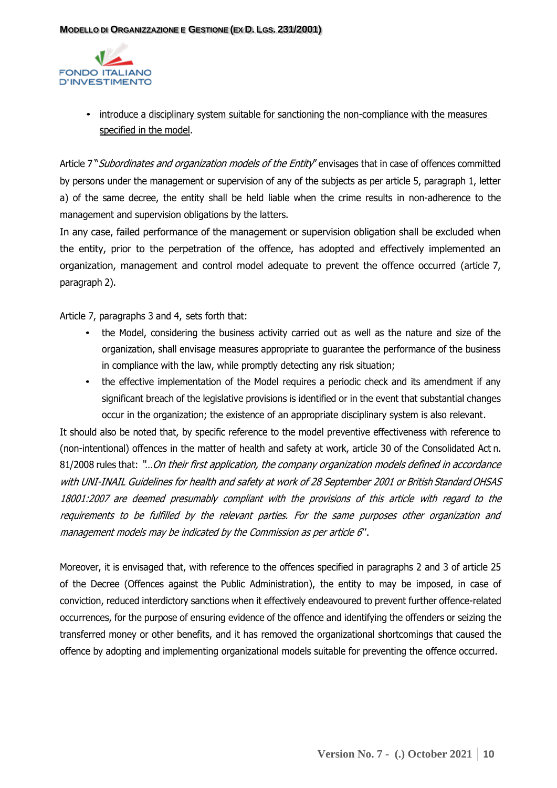

• introduce a disciplinary system suitable for sanctioning the non-compliance with the measures specified in the model.

Article 7" Subordinates and organization models of the Entity" envisages that in case of offences committed by persons under the management or supervision of any of the subjects as per article 5, paragraph 1, letter a) of the same decree, the entity shall be held liable when the crime results in non-adherence to the management and supervision obligations by the latters.

In any case, failed performance of the management or supervision obligation shall be excluded when the entity, prior to the perpetration of the offence, has adopted and effectively implemented an organization, management and control model adequate to prevent the offence occurred (article 7, paragraph 2).

Article 7, paragraphs 3 and 4, sets forth that:

- the Model, considering the business activity carried out as well as the nature and size of the organization, shall envisage measures appropriate to guarantee the performance of the business in compliance with the law, while promptly detecting any risk situation;
- the effective implementation of the Model requires a periodic check and its amendment if any significant breach of the legislative provisions is identified or in the event that substantial changes occur in the organization; the existence of an appropriate disciplinary system is also relevant.

It should also be noted that, by specific reference to the model preventive effectiveness with reference to (non-intentional) offences in the matter of health and safety at work, article 30 of the Consolidated Act n. 81/2008 rules that: "...On their first application, the company organization models defined in accordance with UNI-INAIL Guidelines for health and safety at work of 28 September 2001 or British Standard OHSAS 18001:2007 are deemed presumably compliant with the provisions of this article with regard to the requirements to be fulfilled by the relevant parties. For the same purposes other organization and management models may be indicated by the Commission as per article 6''.

Moreover, it is envisaged that, with reference to the offences specified in paragraphs 2 and 3 of article 25 of the Decree (Offences against the Public Administration), the entity to may be imposed, in case of conviction, reduced interdictory sanctions when it effectively endeavoured to prevent further offence-related occurrences, for the purpose of ensuring evidence of the offence and identifying the offenders or seizing the transferred money or other benefits, and it has removed the organizational shortcomings that caused the offence by adopting and implementing organizational models suitable for preventing the offence occurred.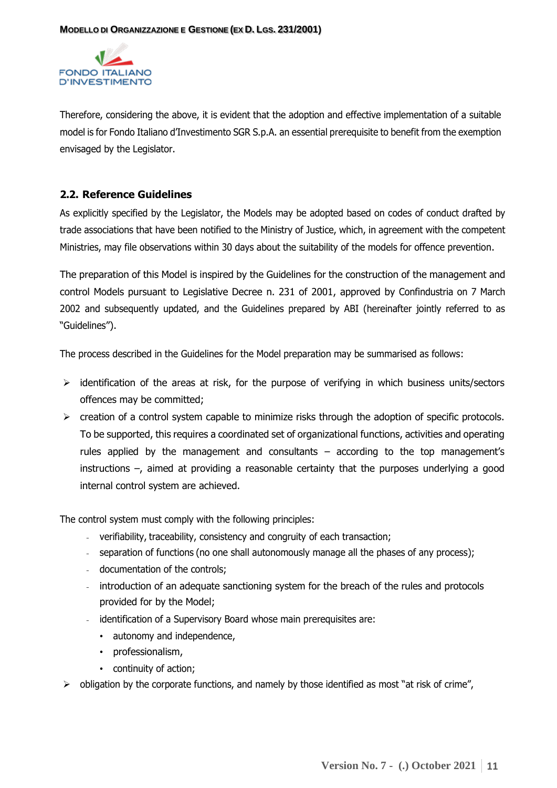

Therefore, considering the above, it is evident that the adoption and effective implementation of a suitable model is for Fondo Italiano d'Investimento SGR S.p.A. an essential prerequisite to benefit from the exemption envisaged by the Legislator.

#### <span id="page-10-0"></span>**2.2. Reference Guidelines**

As explicitly specified by the Legislator, the Models may be adopted based on codes of conduct drafted by trade associations that have been notified to the Ministry of Justice, which, in agreement with the competent Ministries, may file observations within 30 days about the suitability of the models for offence prevention.

The preparation of this Model is inspired by the Guidelines for the construction of the management and control Models pursuant to Legislative Decree n. 231 of 2001, approved by Confindustria on 7 March 2002 and subsequently updated, and the Guidelines prepared by ABI (hereinafter jointly referred to as "Guidelines").

The process described in the Guidelines for the Model preparation may be summarised as follows:

- $\triangleright$  identification of the areas at risk, for the purpose of verifying in which business units/sectors offences may be committed;
- $\triangleright$  creation of a control system capable to minimize risks through the adoption of specific protocols. To be supported, this requires a coordinated set of organizational functions, activities and operating rules applied by the management and consultants – according to the top management's instructions –, aimed at providing a reasonable certainty that the purposes underlying a good internal control system are achieved.

The control system must comply with the following principles:

- verifiability, traceability, consistency and congruity of each transaction;
- separation of functions (no one shall autonomously manage all the phases of any process);
- documentation of the controls;
- introduction of an adequate sanctioning system for the breach of the rules and protocols provided for by the Model;
- identification of a Supervisory Board whose main prerequisites are:
	- autonomy and independence,
	- professionalism,
	- continuity of action;
- $\triangleright$  obligation by the corporate functions, and namely by those identified as most "at risk of crime",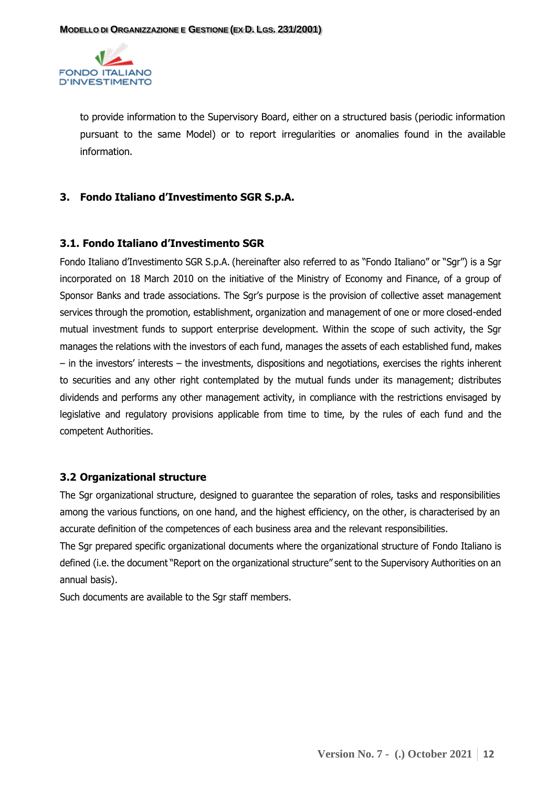

to provide information to the Supervisory Board, either on a structured basis (periodic information pursuant to the same Model) or to report irregularities or anomalies found in the available information.

#### <span id="page-11-0"></span>**3. Fondo Italiano d'Investimento SGR S.p.A.**

#### <span id="page-11-1"></span>**3.1. Fondo Italiano d'Investimento SGR**

Fondo Italiano d'Investimento SGR S.p.A. (hereinafter also referred to as "Fondo Italiano" or "Sgr") is a Sgr incorporated on 18 March 2010 on the initiative of the Ministry of Economy and Finance, of a group of Sponsor Banks and trade associations. The Sgr's purpose is the provision of collective asset management services through the promotion, establishment, organization and management of one or more closed-ended mutual investment funds to support enterprise development. Within the scope of such activity, the Sgr manages the relations with the investors of each fund, manages the assets of each established fund, makes – in the investors' interests – the investments, dispositions and negotiations, exercises the rights inherent to securities and any other right contemplated by the mutual funds under its management; distributes dividends and performs any other management activity, in compliance with the restrictions envisaged by legislative and regulatory provisions applicable from time to time, by the rules of each fund and the competent Authorities.

#### <span id="page-11-2"></span>**3.2 Organizational structure**

The Sgr organizational structure, designed to guarantee the separation of roles, tasks and responsibilities among the various functions, on one hand, and the highest efficiency, on the other, is characterised by an accurate definition of the competences of each business area and the relevant responsibilities.

The Sgr prepared specific organizational documents where the organizational structure of Fondo Italiano is defined (i.e. the document "Report on the organizational structure" sent to the Supervisory Authorities on an annual basis).

Such documents are available to the Sgr staff members.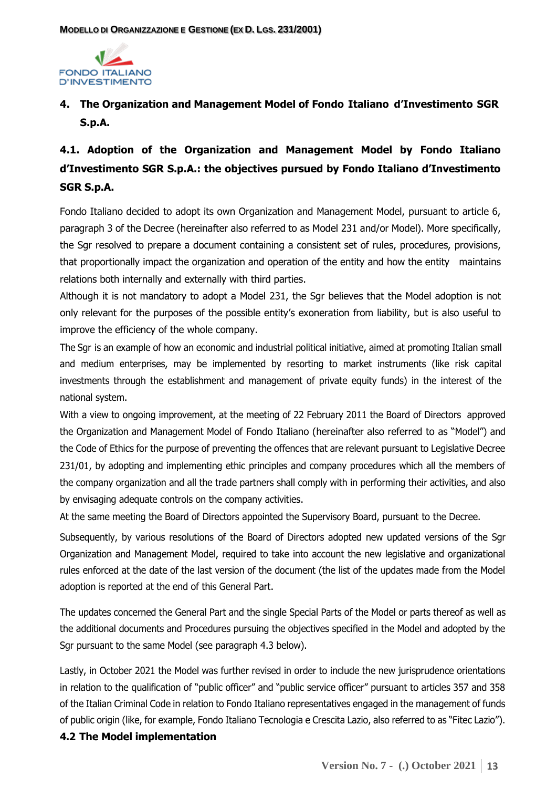

# <span id="page-12-0"></span>**4. The Organization and Management Model of Fondo Italiano d'Investimento SGR S.p.A.**

# <span id="page-12-1"></span>**4.1. Adoption of the Organization and Management Model by Fondo Italiano d'Investimento SGR S.p.A.: the objectives pursued by Fondo Italiano d'Investimento SGR S.p.A.**

Fondo Italiano decided to adopt its own Organization and Management Model, pursuant to article 6, paragraph 3 of the Decree (hereinafter also referred to as Model 231 and/or Model). More specifically, the Sgr resolved to prepare a document containing a consistent set of rules, procedures, provisions, that proportionally impact the organization and operation of the entity and how the entity maintains relations both internally and externally with third parties.

Although it is not mandatory to adopt a Model 231, the Sgr believes that the Model adoption is not only relevant for the purposes of the possible entity's exoneration from liability, but is also useful to improve the efficiency of the whole company.

The Sgr is an example of how an economic and industrial political initiative, aimed at promoting Italian small and medium enterprises, may be implemented by resorting to market instruments (like risk capital investments through the establishment and management of private equity funds) in the interest of the national system.

With a view to ongoing improvement, at the meeting of 22 February 2011 the Board of Directors approved the Organization and Management Model of Fondo Italiano (hereinafter also referred to as "Model") and the Code of Ethics for the purpose of preventing the offences that are relevant pursuant to Legislative Decree 231/01, by adopting and implementing ethic principles and company procedures which all the members of the company organization and all the trade partners shall comply with in performing their activities, and also by envisaging adequate controls on the company activities.

At the same meeting the Board of Directors appointed the Supervisory Board, pursuant to the Decree.

Subsequently, by various resolutions of the Board of Directors adopted new updated versions of the Sgr Organization and Management Model, required to take into account the new legislative and organizational rules enforced at the date of the last version of the document (the list of the updates made from the Model adoption is reported at the end of this General Part.

The updates concerned the General Part and the single Special Parts of the Model or parts thereof as well as the additional documents and Procedures pursuing the objectives specified in the Model and adopted by the Sgr pursuant to the same Model (see paragraph 4.3 below).

Lastly, in October 2021 the Model was further revised in order to include the new jurisprudence orientations in relation to the qualification of "public officer" and "public service officer" pursuant to articles 357 and 358 of the Italian Criminal Code in relation to Fondo Italiano representatives engaged in the management of funds of public origin (like, for example, Fondo Italiano Tecnologia e Crescita Lazio, also referred to as "Fitec Lazio").

## <span id="page-12-2"></span>**4.2 The Model implementation**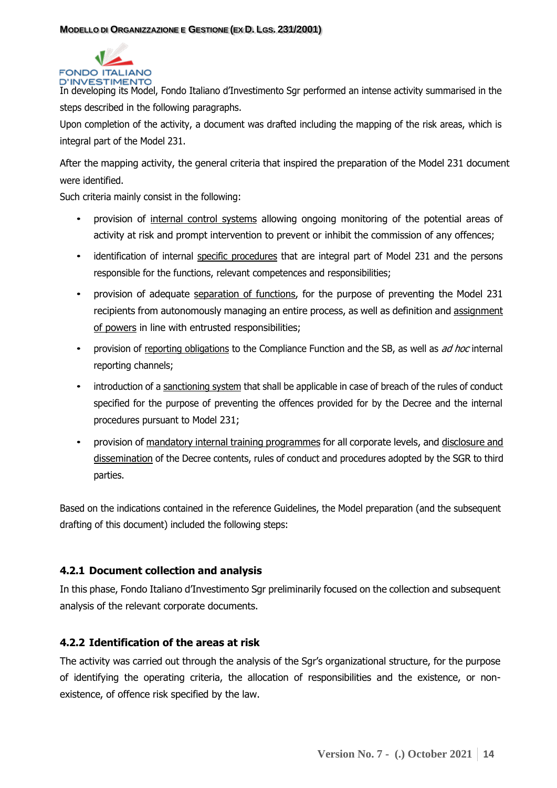

In developing its Model, Fondo Italiano d'Investimento Sgr performed an intense activity summarised in the steps described in the following paragraphs.

Upon completion of the activity, a document was drafted including the mapping of the risk areas, which is integral part of the Model 231.

After the mapping activity, the general criteria that inspired the preparation of the Model 231 document were identified.

Such criteria mainly consist in the following:

- provision of internal control systems allowing ongoing monitoring of the potential areas of activity at risk and prompt intervention to prevent or inhibit the commission of any offences;
- identification of internal specific procedures that are integral part of Model 231 and the persons responsible for the functions, relevant competences and responsibilities;
- provision of adequate separation of functions, for the purpose of preventing the Model 231 recipients from autonomously managing an entire process, as well as definition and assignment of powers in line with entrusted responsibilities;
- provision of reporting obligations to the Compliance Function and the SB, as well as ad hoc internal reporting channels;
- introduction of a sanctioning system that shall be applicable in case of breach of the rules of conduct specified for the purpose of preventing the offences provided for by the Decree and the internal procedures pursuant to Model 231;
- provision of mandatory internal training programmes for all corporate levels, and disclosure and dissemination of the Decree contents, rules of conduct and procedures adopted by the SGR to third parties.

Based on the indications contained in the reference Guidelines, the Model preparation (and the subsequent drafting of this document) included the following steps:

# <span id="page-13-0"></span>**4.2.1 Document collection and analysis**

In this phase, Fondo Italiano d'Investimento Sgr preliminarily focused on the collection and subsequent analysis of the relevant corporate documents.

# <span id="page-13-1"></span>**4.2.2 Identification of the areas at risk**

The activity was carried out through the analysis of the Sgr's organizational structure, for the purpose of identifying the operating criteria, the allocation of responsibilities and the existence, or nonexistence, of offence risk specified by the law.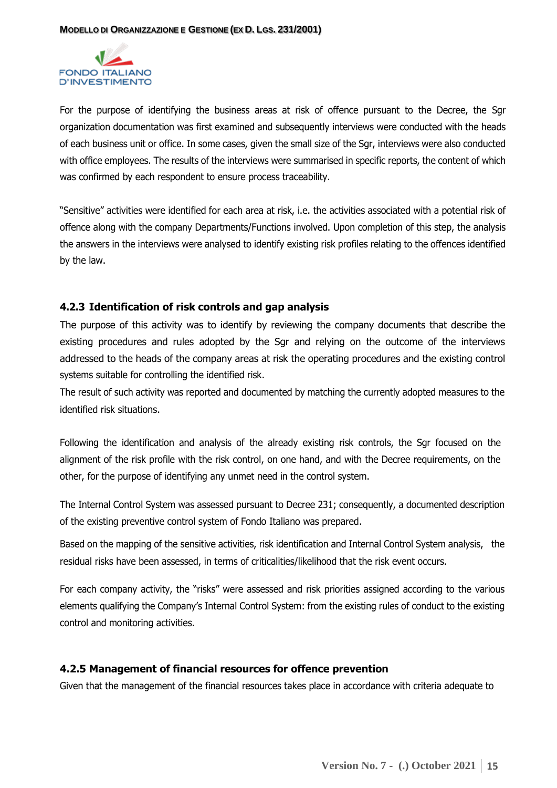

For the purpose of identifying the business areas at risk of offence pursuant to the Decree, the Sgr organization documentation was first examined and subsequently interviews were conducted with the heads of each business unit or office. In some cases, given the small size of the Sgr, interviews were also conducted with office employees. The results of the interviews were summarised in specific reports, the content of which was confirmed by each respondent to ensure process traceability.

"Sensitive" activities were identified for each area at risk, i.e. the activities associated with a potential risk of offence along with the company Departments/Functions involved. Upon completion of this step, the analysis the answers in the interviews were analysed to identify existing risk profiles relating to the offences identified by the law.

#### <span id="page-14-0"></span>**4.2.3 Identification of risk controls and gap analysis**

The purpose of this activity was to identify by reviewing the company documents that describe the existing procedures and rules adopted by the Sgr and relying on the outcome of the interviews addressed to the heads of the company areas at risk the operating procedures and the existing control systems suitable for controlling the identified risk.

The result of such activity was reported and documented by matching the currently adopted measures to the identified risk situations.

Following the identification and analysis of the already existing risk controls, the Sgr focused on the alignment of the risk profile with the risk control, on one hand, and with the Decree requirements, on the other, for the purpose of identifying any unmet need in the control system.

The Internal Control System was assessed pursuant to Decree 231; consequently, a documented description of the existing preventive control system of Fondo Italiano was prepared.

Based on the mapping of the sensitive activities, risk identification and Internal Control System analysis, the residual risks have been assessed, in terms of criticalities/likelihood that the risk event occurs.

For each company activity, the "risks" were assessed and risk priorities assigned according to the various elements qualifying the Company's Internal Control System: from the existing rules of conduct to the existing control and monitoring activities.

#### <span id="page-14-1"></span>**4.2.5 Management of financial resources for offence prevention**

Given that the management of the financial resources takes place in accordance with criteria adequate to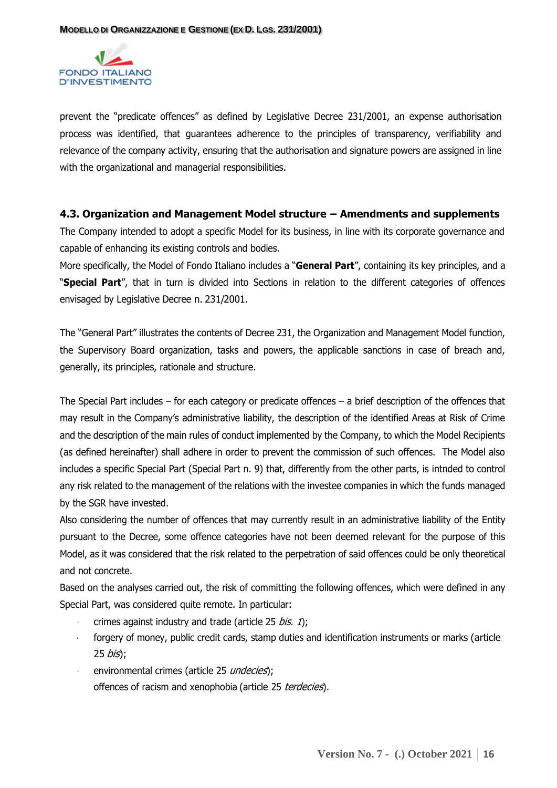

prevent the "predicate offences" as defined by Legislative Decree 231/2001, an expense authorisation process was identified, that guarantees adherence to the principles of transparency, verifiability and relevance of the company activity, ensuring that the authorisation and signature powers are assigned in line with the organizational and managerial responsibilities.

#### <span id="page-15-0"></span>**4.3. Organization and Management Model structure – Amendments and supplements**

The Company intended to adopt a specific Model for its business, in line with its corporate governance and capable of enhancing its existing controls and bodies.

More specifically, the Model of Fondo Italiano includes a "**General Part**", containing its key principles, and a "**Special Part**", that in turn is divided into Sections in relation to the different categories of offences envisaged by Legislative Decree n. 231/2001.

The "General Part" illustrates the contents of Decree 231, the Organization and Management Model function, the Supervisory Board organization, tasks and powers, the applicable sanctions in case of breach and, generally, its principles, rationale and structure.

The Special Part includes – for each category or predicate offences – a brief description of the offences that may result in the Company's administrative liability, the description of the identified Areas at Risk of Crime and the description of the main rules of conduct implemented by the Company, to which the Model Recipients (as defined hereinafter) shall adhere in order to prevent the commission of such offences. The Model also includes a specific Special Part (Special Part n. 9) that, differently from the other parts, is intnded to control any risk related to the management of the relations with the investee companies in which the funds managed by the SGR have invested.

Also considering the number of offences that may currently result in an administrative liability of the Entity pursuant to the Decree, some offence categories have not been deemed relevant for the purpose of this Model, as it was considered that the risk related to the perpetration of said offences could be only theoretical and not concrete.

Based on the analyses carried out, the risk of committing the following offences, which were defined in any Special Part, was considered quite remote. In particular:

- crimes against industry and trade (article 25 bis.  $1$ );
- forgery of money, public credit cards, stamp duties and identification instruments or marks (article  $25 \text{ bis}$ ;
- environmental crimes (article 25 undecies); offences of racism and xenophobia (article 25 terdecies).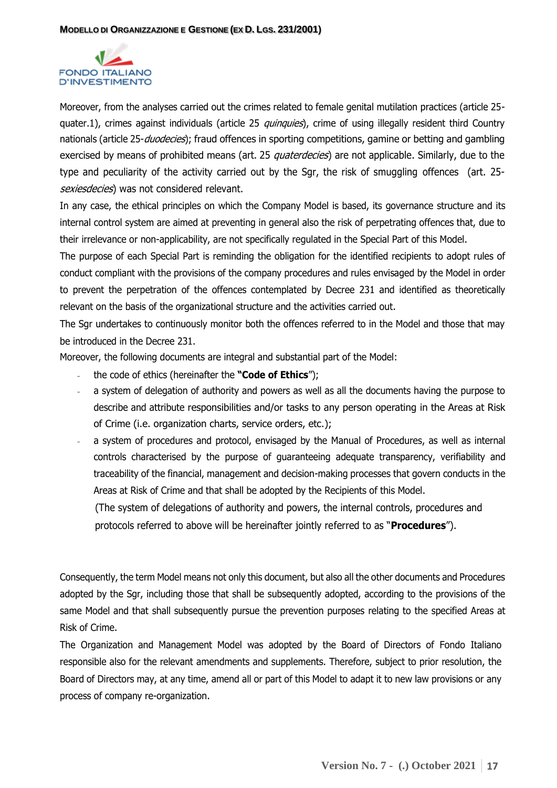

Moreover, from the analyses carried out the crimes related to female genital mutilation practices (article 25 quater.1), crimes against individuals (article 25 *quinquies*), crime of using illegally resident third Country nationals (article 25-*duodecies*); fraud offences in sporting competitions, gamine or betting and gambling exercised by means of prohibited means (art. 25 *quaterdecies*) are not applicable. Similarly, due to the type and peculiarity of the activity carried out by the Sgr, the risk of smuggling offences (art. 25 sexiesdecies) was not considered relevant.

In any case, the ethical principles on which the Company Model is based, its governance structure and its internal control system are aimed at preventing in general also the risk of perpetrating offences that, due to their irrelevance or non-applicability, are not specifically regulated in the Special Part of this Model.

The purpose of each Special Part is reminding the obligation for the identified recipients to adopt rules of conduct compliant with the provisions of the company procedures and rules envisaged by the Model in order to prevent the perpetration of the offences contemplated by Decree 231 and identified as theoretically relevant on the basis of the organizational structure and the activities carried out.

The Sgr undertakes to continuously monitor both the offences referred to in the Model and those that may be introduced in the Decree 231.

Moreover, the following documents are integral and substantial part of the Model:

- the code of ethics (hereinafter the **"Code of Ethics**");
- a system of delegation of authority and powers as well as all the documents having the purpose to describe and attribute responsibilities and/or tasks to any person operating in the Areas at Risk of Crime (i.e. organization charts, service orders, etc.);
- a system of procedures and protocol, envisaged by the Manual of Procedures, as well as internal controls characterised by the purpose of guaranteeing adequate transparency, verifiability and traceability of the financial, management and decision-making processes that govern conducts in the Areas at Risk of Crime and that shall be adopted by the Recipients of this Model.

 (The system of delegations of authority and powers, the internal controls, procedures and protocols referred to above will be hereinafter jointly referred to as "**Procedures**").

Consequently, the term Model means not only this document, but also all the other documents and Procedures adopted by the Sgr, including those that shall be subsequently adopted, according to the provisions of the same Model and that shall subsequently pursue the prevention purposes relating to the specified Areas at Risk of Crime.

The Organization and Management Model was adopted by the Board of Directors of Fondo Italiano responsible also for the relevant amendments and supplements. Therefore, subject to prior resolution, the Board of Directors may, at any time, amend all or part of this Model to adapt it to new law provisions or any process of company re-organization.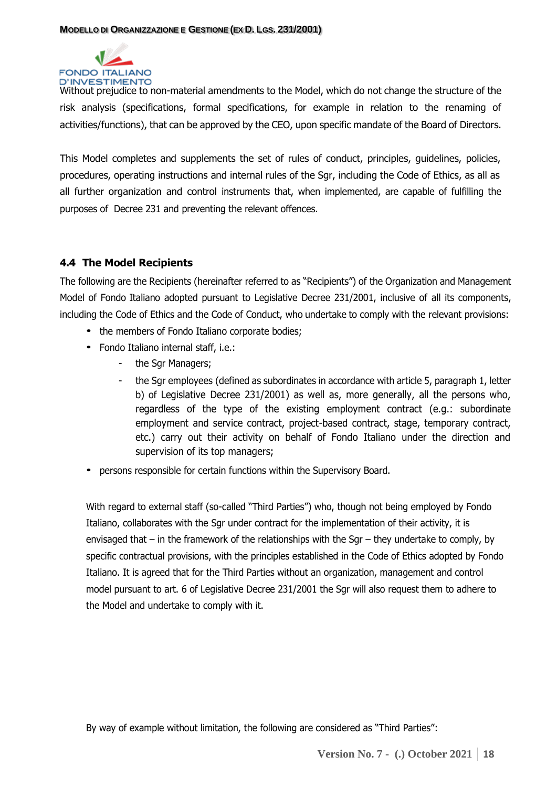

Without prejudice to non-material amendments to the Model, which do not change the structure of the risk analysis (specifications, formal specifications, for example in relation to the renaming of activities/functions), that can be approved by the CEO, upon specific mandate of the Board of Directors.

This Model completes and supplements the set of rules of conduct, principles, guidelines, policies, procedures, operating instructions and internal rules of the Sgr, including the Code of Ethics, as all as all further organization and control instruments that, when implemented, are capable of fulfilling the purposes of Decree 231 and preventing the relevant offences.

# <span id="page-17-0"></span>**4.4 The Model Recipients**

The following are the Recipients (hereinafter referred to as "Recipients") of the Organization and Management Model of Fondo Italiano adopted pursuant to Legislative Decree 231/2001, inclusive of all its components, including the Code of Ethics and the Code of Conduct, who undertake to comply with the relevant provisions:

- the members of Fondo Italiano corporate bodies;
- Fondo Italiano internal staff, i.e.:
	- the Sgr Managers;
	- the Sgr employees (defined as subordinates in accordance with article 5, paragraph 1, letter b) of Legislative Decree 231/2001) as well as, more generally, all the persons who, regardless of the type of the existing employment contract (e.g.: subordinate employment and service contract, project-based contract, stage, temporary contract, etc.) carry out their activity on behalf of Fondo Italiano under the direction and supervision of its top managers;
- persons responsible for certain functions within the Supervisory Board.

With regard to external staff (so-called "Third Parties") who, though not being employed by Fondo Italiano, collaborates with the Sgr under contract for the implementation of their activity, it is envisaged that – in the framework of the relationships with the Sgr – they undertake to comply, by specific contractual provisions, with the principles established in the Code of Ethics adopted by Fondo Italiano. It is agreed that for the Third Parties without an organization, management and control model pursuant to art. 6 of Legislative Decree 231/2001 the Sgr will also request them to adhere to the Model and undertake to comply with it.

By way of example without limitation, the following are considered as "Third Parties":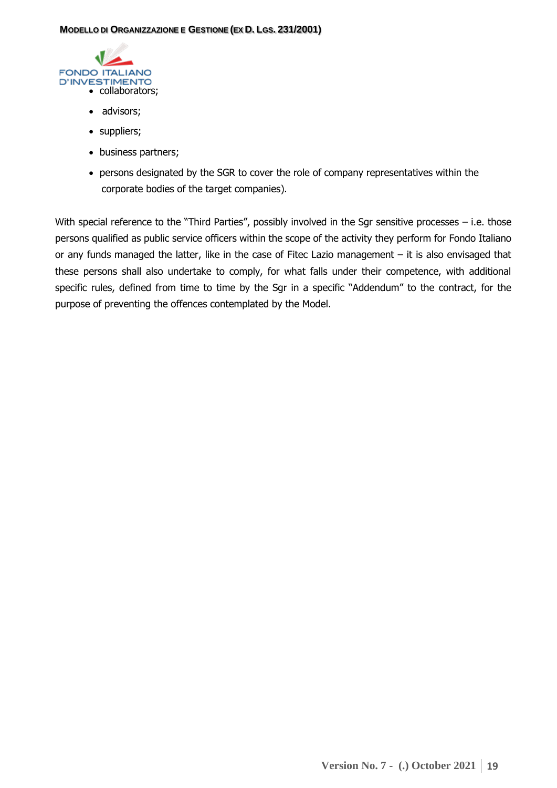

- advisors;
- suppliers;
- business partners;
- persons designated by the SGR to cover the role of company representatives within the corporate bodies of the target companies).

With special reference to the "Third Parties", possibly involved in the Sgr sensitive processes – i.e. those persons qualified as public service officers within the scope of the activity they perform for Fondo Italiano or any funds managed the latter, like in the case of Fitec Lazio management – it is also envisaged that these persons shall also undertake to comply, for what falls under their competence, with additional specific rules, defined from time to time by the Sgr in a specific "Addendum" to the contract, for the purpose of preventing the offences contemplated by the Model.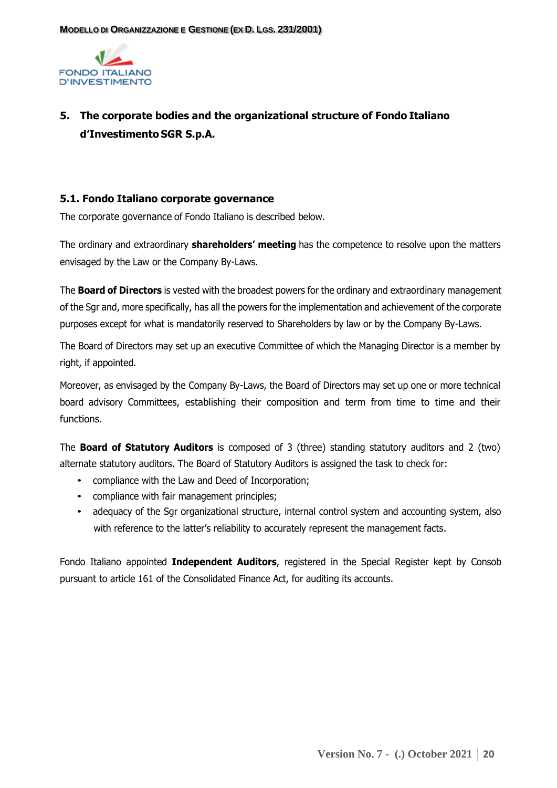

# <span id="page-19-0"></span>**5. The corporate bodies and the organizational structure of Fondo Italiano d'Investimento SGR S.p.A.**

#### <span id="page-19-1"></span>**5.1. Fondo Italiano corporate governance**

The corporate governance of Fondo Italiano is described below.

The ordinary and extraordinary **shareholders' meeting** has the competence to resolve upon the matters envisaged by the Law or the Company By-Laws.

The **Board of Directors** is vested with the broadest powers for the ordinary and extraordinary management of the Sgr and, more specifically, has all the powers for the implementation and achievement of the corporate purposes except for what is mandatorily reserved to Shareholders by law or by the Company By-Laws.

The Board of Directors may set up an executive Committee of which the Managing Director is a member by right, if appointed.

Moreover, as envisaged by the Company By-Laws, the Board of Directors may set up one or more technical board advisory Committees, establishing their composition and term from time to time and their functions.

The **Board of Statutory Auditors** is composed of 3 (three) standing statutory auditors and 2 (two) alternate statutory auditors. The Board of Statutory Auditors is assigned the task to check for:

- compliance with the Law and Deed of Incorporation;
- compliance with fair management principles;
- adequacy of the Sgr organizational structure, internal control system and accounting system, also with reference to the latter's reliability to accurately represent the management facts.

Fondo Italiano appointed **Independent Auditors**, registered in the Special Register kept by Consob pursuant to article 161 of the Consolidated Finance Act, for auditing its accounts.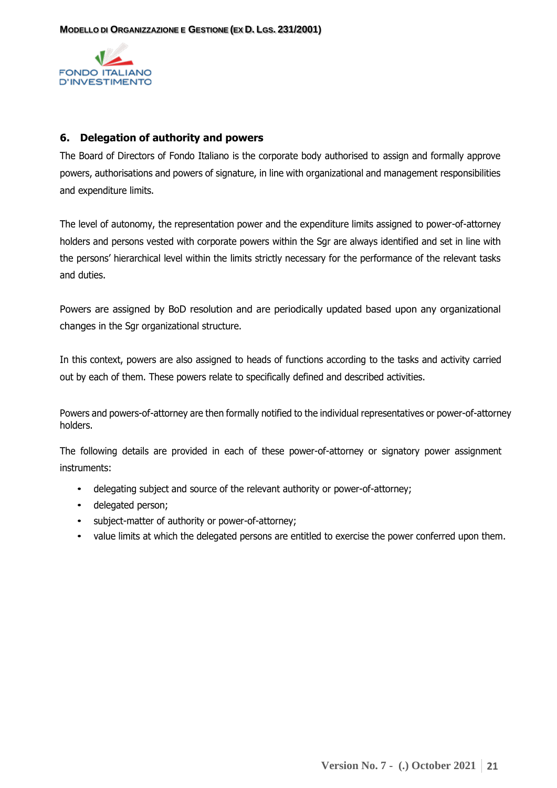

#### <span id="page-20-0"></span>**6. Delegation of authority and powers**

The Board of Directors of Fondo Italiano is the corporate body authorised to assign and formally approve powers, authorisations and powers of signature, in line with organizational and management responsibilities and expenditure limits.

The level of autonomy, the representation power and the expenditure limits assigned to power-of-attorney holders and persons vested with corporate powers within the Sgr are always identified and set in line with the persons' hierarchical level within the limits strictly necessary for the performance of the relevant tasks and duties.

Powers are assigned by BoD resolution and are periodically updated based upon any organizational changes in the Sgr organizational structure.

In this context, powers are also assigned to heads of functions according to the tasks and activity carried out by each of them. These powers relate to specifically defined and described activities.

Powers and powers-of-attorney are then formally notified to the individual representatives or power-of-attorney holders.

The following details are provided in each of these power-of-attorney or signatory power assignment instruments:

- delegating subject and source of the relevant authority or power-of-attorney;
- delegated person;
- subject-matter of authority or power-of-attorney;
- value limits at which the delegated persons are entitled to exercise the power conferred upon them.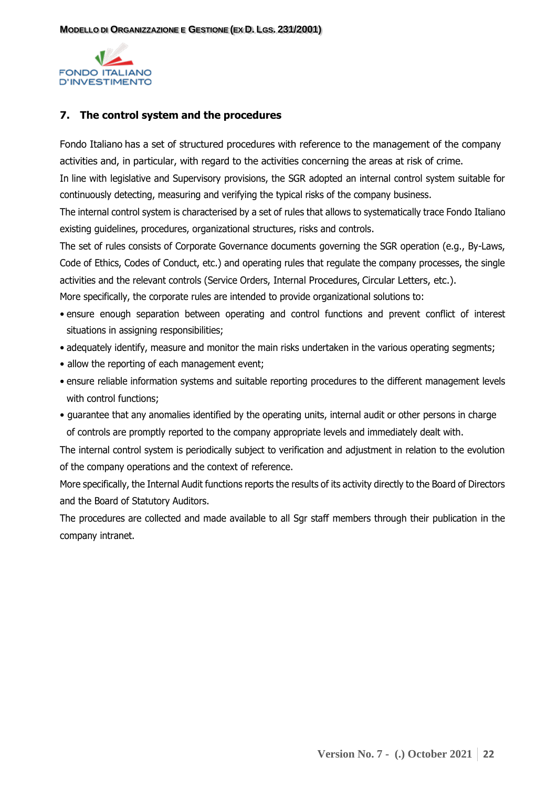

#### <span id="page-21-0"></span>**7. The control system and the procedures**

Fondo Italiano has a set of structured procedures with reference to the management of the company activities and, in particular, with regard to the activities concerning the areas at risk of crime.

In line with legislative and Supervisory provisions, the SGR adopted an internal control system suitable for continuously detecting, measuring and verifying the typical risks of the company business.

The internal control system is characterised by a set of rules that allows to systematically trace Fondo Italiano existing guidelines, procedures, organizational structures, risks and controls.

The set of rules consists of Corporate Governance documents governing the SGR operation (e.g., By-Laws, Code of Ethics, Codes of Conduct, etc.) and operating rules that regulate the company processes, the single activities and the relevant controls (Service Orders, Internal Procedures, Circular Letters, etc.).

More specifically, the corporate rules are intended to provide organizational solutions to:

- ensure enough separation between operating and control functions and prevent conflict of interest situations in assigning responsibilities;
- adequately identify, measure and monitor the main risks undertaken in the various operating segments;
- allow the reporting of each management event;
- ensure reliable information systems and suitable reporting procedures to the different management levels with control functions;
- guarantee that any anomalies identified by the operating units, internal audit or other persons in charge of controls are promptly reported to the company appropriate levels and immediately dealt with.

The internal control system is periodically subject to verification and adjustment in relation to the evolution of the company operations and the context of reference.

More specifically, the Internal Audit functions reports the results of its activity directly to the Board of Directors and the Board of Statutory Auditors.

The procedures are collected and made available to all Sgr staff members through their publication in the company intranet.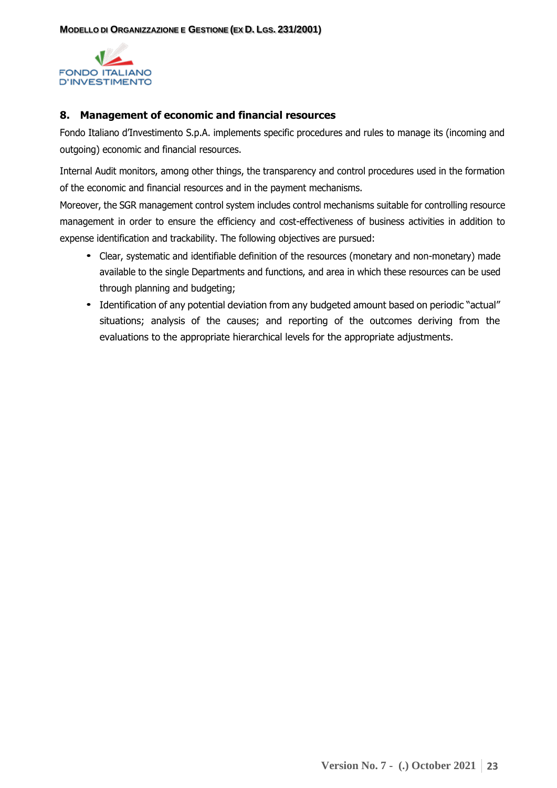

#### **8. Management of economic and financial resources**

Fondo Italiano d'Investimento S.p.A. implements specific procedures and rules to manage its (incoming and outgoing) economic and financial resources.

Internal Audit monitors, among other things, the transparency and control procedures used in the formation of the economic and financial resources and in the payment mechanisms.

Moreover, the SGR management control system includes control mechanisms suitable for controlling resource management in order to ensure the efficiency and cost-effectiveness of business activities in addition to expense identification and trackability. The following objectives are pursued:

- Clear, systematic and identifiable definition of the resources (monetary and non-monetary) made available to the single Departments and functions, and area in which these resources can be used through planning and budgeting;
- Identification of any potential deviation from any budgeted amount based on periodic "actual" situations; analysis of the causes; and reporting of the outcomes deriving from the evaluations to the appropriate hierarchical levels for the appropriate adjustments.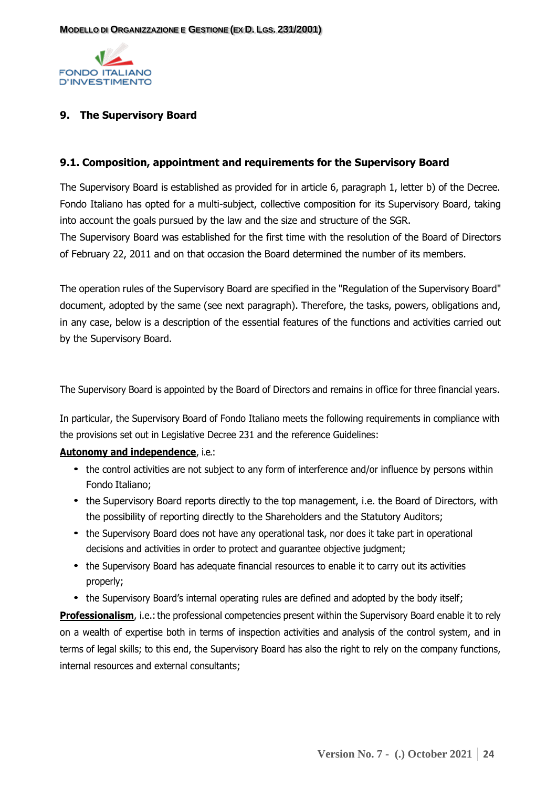

# <span id="page-23-0"></span>**9. The Supervisory Board**

#### <span id="page-23-1"></span>**9.1. Composition, appointment and requirements for the Supervisory Board**

The Supervisory Board is established as provided for in article 6, paragraph 1, letter b) of the Decree. Fondo Italiano has opted for a multi-subject, collective composition for its Supervisory Board, taking into account the goals pursued by the law and the size and structure of the SGR. The Supervisory Board was established for the first time with the resolution of the Board of Directors of February 22, 2011 and on that occasion the Board determined the number of its members.

The operation rules of the Supervisory Board are specified in the "Regulation of the Supervisory Board" document, adopted by the same (see next paragraph). Therefore, the tasks, powers, obligations and, in any case, below is a description of the essential features of the functions and activities carried out by the Supervisory Board.

The Supervisory Board is appointed by the Board of Directors and remains in office for three financial years.

In particular, the Supervisory Board of Fondo Italiano meets the following requirements in compliance with the provisions set out in Legislative Decree 231 and the reference Guidelines:

#### **Autonomy and independence**, i.e.:

- the control activities are not subject to any form of interference and/or influence by persons within Fondo Italiano;
- the Supervisory Board reports directly to the top management, i.e. the Board of Directors, with the possibility of reporting directly to the Shareholders and the Statutory Auditors;
- the Supervisory Board does not have any operational task, nor does it take part in operational decisions and activities in order to protect and guarantee objective judgment;
- the Supervisory Board has adequate financial resources to enable it to carry out its activities properly;
- the Supervisory Board's internal operating rules are defined and adopted by the body itself;

**Professionalism**, i.e.: the professional competencies present within the Supervisory Board enable it to rely on a wealth of expertise both in terms of inspection activities and analysis of the control system, and in terms of legal skills; to this end, the Supervisory Board has also the right to rely on the company functions, internal resources and external consultants;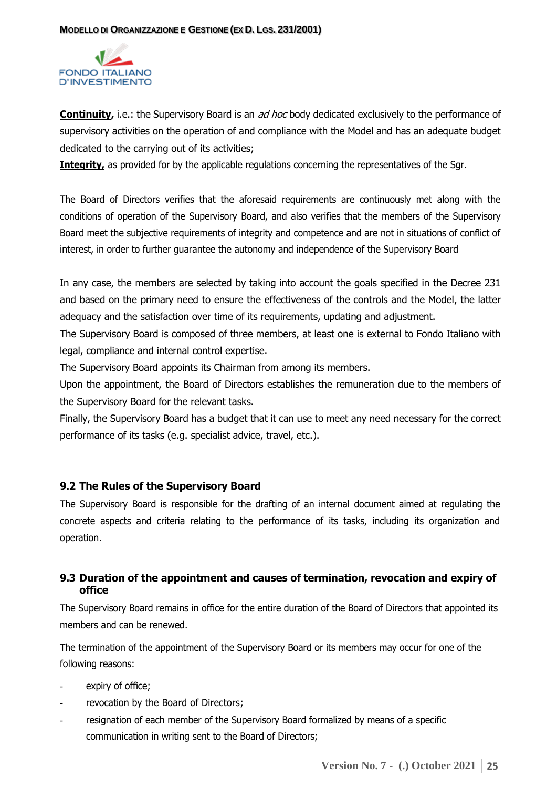

**Continuity,** i.e.: the Supervisory Board is an *ad hoc* body dedicated exclusively to the performance of supervisory activities on the operation of and compliance with the Model and has an adequate budget dedicated to the carrying out of its activities;

**Integrity**, as provided for by the applicable regulations concerning the representatives of the Sgr.

The Board of Directors verifies that the aforesaid requirements are continuously met along with the conditions of operation of the Supervisory Board, and also verifies that the members of the Supervisory Board meet the subjective requirements of integrity and competence and are not in situations of conflict of interest, in order to further guarantee the autonomy and independence of the Supervisory Board

In any case, the members are selected by taking into account the goals specified in the Decree 231 and based on the primary need to ensure the effectiveness of the controls and the Model, the latter adequacy and the satisfaction over time of its requirements, updating and adjustment.

The Supervisory Board is composed of three members, at least one is external to Fondo Italiano with legal, compliance and internal control expertise.

The Supervisory Board appoints its Chairman from among its members.

Upon the appointment, the Board of Directors establishes the remuneration due to the members of the Supervisory Board for the relevant tasks.

Finally, the Supervisory Board has a budget that it can use to meet any need necessary for the correct performance of its tasks (e.g. specialist advice, travel, etc.).

## <span id="page-24-0"></span>**9.2 The Rules of the Supervisory Board**

The Supervisory Board is responsible for the drafting of an internal document aimed at regulating the concrete aspects and criteria relating to the performance of its tasks, including its organization and operation.

## <span id="page-24-1"></span>**9.3 Duration of the appointment and causes of termination, revocation and expiry of office**

The Supervisory Board remains in office for the entire duration of the Board of Directors that appointed its members and can be renewed.

The termination of the appointment of the Supervisory Board or its members may occur for one of the following reasons:

- expiry of office;
- revocation by the Board of Directors;
- resignation of each member of the Supervisory Board formalized by means of a specific communication in writing sent to the Board of Directors;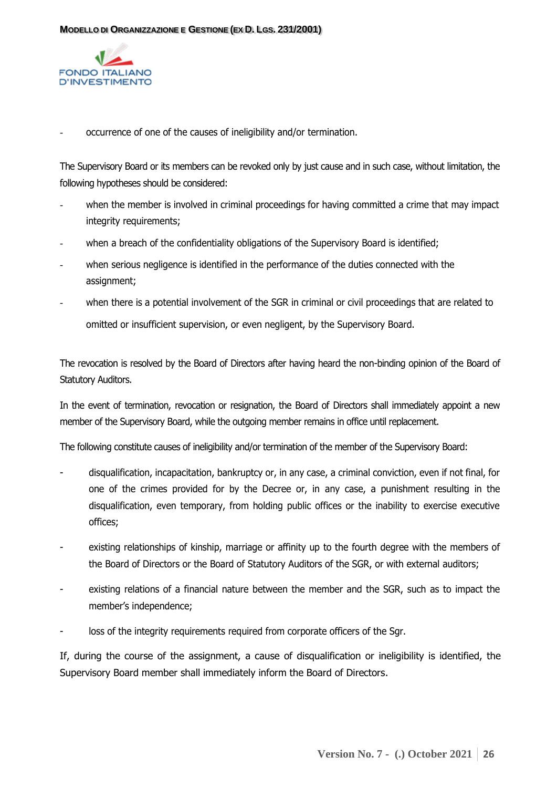

occurrence of one of the causes of ineligibility and/or termination.

The Supervisory Board or its members can be revoked only by just cause and in such case, without limitation, the following hypotheses should be considered:

- when the member is involved in criminal proceedings for having committed a crime that may impact integrity requirements;
- when a breach of the confidentiality obligations of the Supervisory Board is identified;
- when serious negligence is identified in the performance of the duties connected with the assignment;
- when there is a potential involvement of the SGR in criminal or civil proceedings that are related to omitted or insufficient supervision, or even negligent, by the Supervisory Board.

The revocation is resolved by the Board of Directors after having heard the non-binding opinion of the Board of Statutory Auditors.

In the event of termination, revocation or resignation, the Board of Directors shall immediately appoint a new member of the Supervisory Board, while the outgoing member remains in office until replacement.

The following constitute causes of ineligibility and/or termination of the member of the Supervisory Board:

- disqualification, incapacitation, bankruptcy or, in any case, a criminal conviction, even if not final, for one of the crimes provided for by the Decree or, in any case, a punishment resulting in the disqualification, even temporary, from holding public offices or the inability to exercise executive offices;
- existing relationships of kinship, marriage or affinity up to the fourth degree with the members of the Board of Directors or the Board of Statutory Auditors of the SGR, or with external auditors;
- existing relations of a financial nature between the member and the SGR, such as to impact the member's independence;
- loss of the integrity requirements required from corporate officers of the Sgr.

If, during the course of the assignment, a cause of disqualification or ineligibility is identified, the Supervisory Board member shall immediately inform the Board of Directors.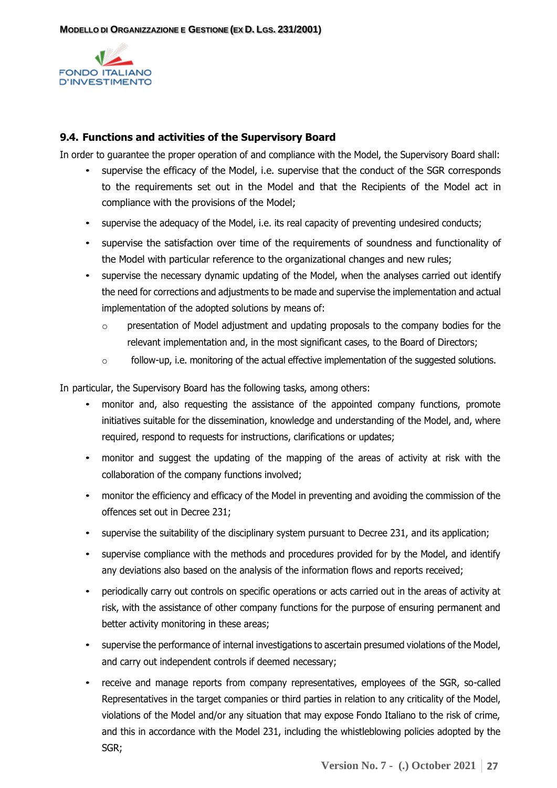

#### <span id="page-26-0"></span>**9.4. Functions and activities of the Supervisory Board**

In order to guarantee the proper operation of and compliance with the Model, the Supervisory Board shall:

- supervise the efficacy of the Model, i.e. supervise that the conduct of the SGR corresponds to the requirements set out in the Model and that the Recipients of the Model act in compliance with the provisions of the Model;
- supervise the adequacy of the Model, i.e. its real capacity of preventing undesired conducts;
- supervise the satisfaction over time of the requirements of soundness and functionality of the Model with particular reference to the organizational changes and new rules;
- supervise the necessary dynamic updating of the Model, when the analyses carried out identify the need for corrections and adjustments to be made and supervise the implementation and actual implementation of the adopted solutions by means of:
	- o presentation of Model adjustment and updating proposals to the company bodies for the relevant implementation and, in the most significant cases, to the Board of Directors;
	- $\circ$  follow-up, i.e. monitoring of the actual effective implementation of the suggested solutions.

In particular, the Supervisory Board has the following tasks, among others:

- monitor and, also requesting the assistance of the appointed company functions, promote initiatives suitable for the dissemination, knowledge and understanding of the Model, and, where required, respond to requests for instructions, clarifications or updates;
- monitor and suggest the updating of the mapping of the areas of activity at risk with the collaboration of the company functions involved;
- monitor the efficiency and efficacy of the Model in preventing and avoiding the commission of the offences set out in Decree 231;
- supervise the suitability of the disciplinary system pursuant to Decree 231, and its application;
- supervise compliance with the methods and procedures provided for by the Model, and identify any deviations also based on the analysis of the information flows and reports received;
- periodically carry out controls on specific operations or acts carried out in the areas of activity at risk, with the assistance of other company functions for the purpose of ensuring permanent and better activity monitoring in these areas;
- supervise the performance of internal investigations to ascertain presumed violations of the Model, and carry out independent controls if deemed necessary;
- receive and manage reports from company representatives, employees of the SGR, so-called Representatives in the target companies or third parties in relation to any criticality of the Model, violations of the Model and/or any situation that may expose Fondo Italiano to the risk of crime, and this in accordance with the Model 231, including the whistleblowing policies adopted by the SGR;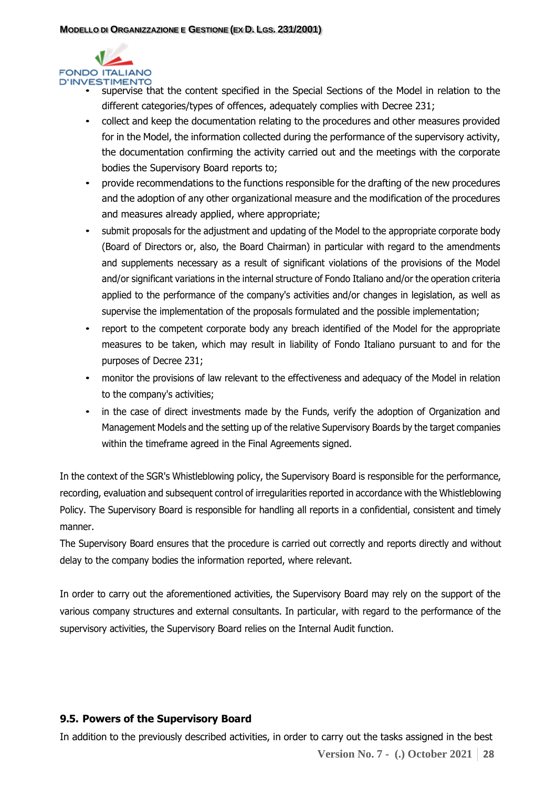

- supervise that the content specified in the Special Sections of the Model in relation to the different categories/types of offences, adequately complies with Decree 231;
	- collect and keep the documentation relating to the procedures and other measures provided for in the Model, the information collected during the performance of the supervisory activity, the documentation confirming the activity carried out and the meetings with the corporate bodies the Supervisory Board reports to;
	- provide recommendations to the functions responsible for the drafting of the new procedures and the adoption of any other organizational measure and the modification of the procedures and measures already applied, where appropriate;
	- submit proposals for the adjustment and updating of the Model to the appropriate corporate body (Board of Directors or, also, the Board Chairman) in particular with regard to the amendments and supplements necessary as a result of significant violations of the provisions of the Model and/or significant variations in the internal structure of Fondo Italiano and/or the operation criteria applied to the performance of the company's activities and/or changes in legislation, as well as supervise the implementation of the proposals formulated and the possible implementation;
	- report to the competent corporate body any breach identified of the Model for the appropriate measures to be taken, which may result in liability of Fondo Italiano pursuant to and for the purposes of Decree 231;
	- monitor the provisions of law relevant to the effectiveness and adequacy of the Model in relation to the company's activities;
	- in the case of direct investments made by the Funds, verify the adoption of Organization and Management Models and the setting up of the relative Supervisory Boards by the target companies within the timeframe agreed in the Final Agreements signed.

In the context of the SGR's Whistleblowing policy, the Supervisory Board is responsible for the performance, recording, evaluation and subsequent control of irregularities reported in accordance with the Whistleblowing Policy. The Supervisory Board is responsible for handling all reports in a confidential, consistent and timely manner.

The Supervisory Board ensures that the procedure is carried out correctly and reports directly and without delay to the company bodies the information reported, where relevant.

In order to carry out the aforementioned activities, the Supervisory Board may rely on the support of the various company structures and external consultants. In particular, with regard to the performance of the supervisory activities, the Supervisory Board relies on the Internal Audit function.

# <span id="page-27-0"></span>**9.5. Powers of the Supervisory Board**

**Version No. 7 - (.) October 2021 28** In addition to the previously described activities, in order to carry out the tasks assigned in the best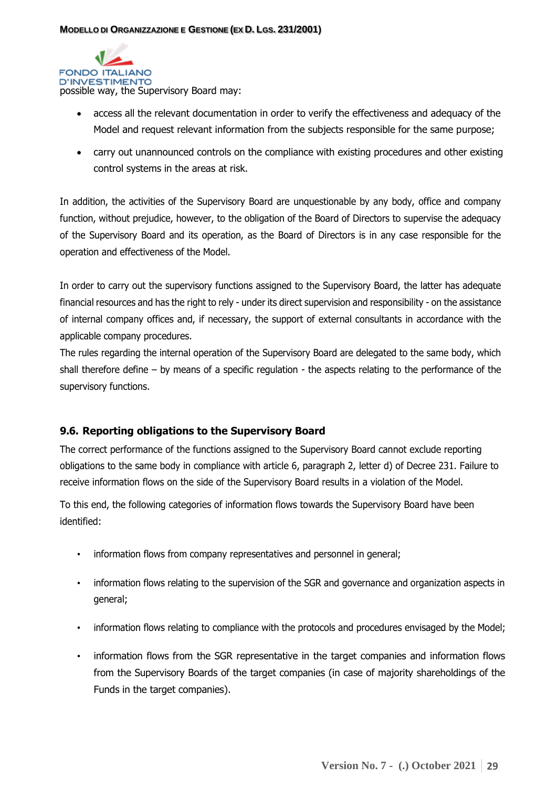

- access all the relevant documentation in order to verify the effectiveness and adequacy of the Model and request relevant information from the subjects responsible for the same purpose;
- carry out unannounced controls on the compliance with existing procedures and other existing control systems in the areas at risk.

In addition, the activities of the Supervisory Board are unquestionable by any body, office and company function, without prejudice, however, to the obligation of the Board of Directors to supervise the adequacy of the Supervisory Board and its operation, as the Board of Directors is in any case responsible for the operation and effectiveness of the Model.

In order to carry out the supervisory functions assigned to the Supervisory Board, the latter has adequate financial resources and has the right to rely - under its direct supervision and responsibility - on the assistance of internal company offices and, if necessary, the support of external consultants in accordance with the applicable company procedures.

The rules regarding the internal operation of the Supervisory Board are delegated to the same body, which shall therefore define – by means of a specific regulation - the aspects relating to the performance of the supervisory functions.

## <span id="page-28-0"></span>**9.6. Reporting obligations to the Supervisory Board**

The correct performance of the functions assigned to the Supervisory Board cannot exclude reporting obligations to the same body in compliance with article 6, paragraph 2, letter d) of Decree 231. Failure to receive information flows on the side of the Supervisory Board results in a violation of the Model.

To this end, the following categories of information flows towards the Supervisory Board have been identified:

- information flows from company representatives and personnel in general;
- information flows relating to the supervision of the SGR and governance and organization aspects in general;
- information flows relating to compliance with the protocols and procedures envisaged by the Model;
- information flows from the SGR representative in the target companies and information flows from the Supervisory Boards of the target companies (in case of majority shareholdings of the Funds in the target companies).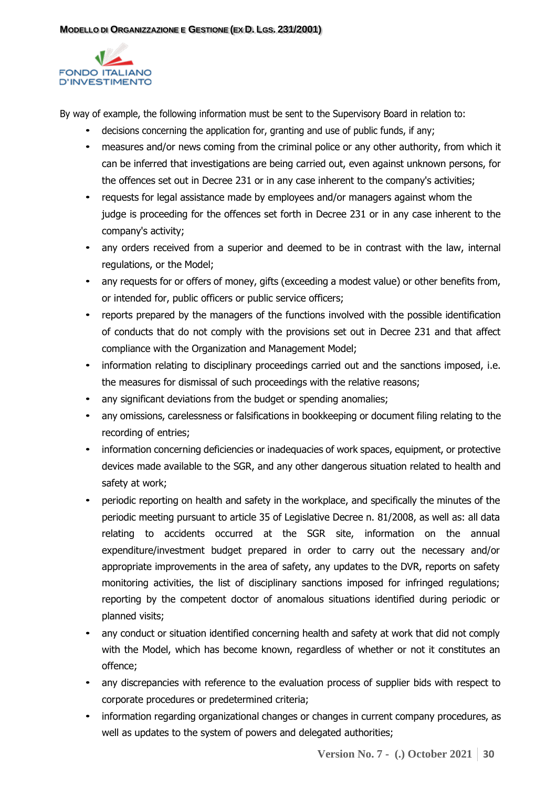

By way of example, the following information must be sent to the Supervisory Board in relation to:

- decisions concerning the application for, granting and use of public funds, if any;
- measures and/or news coming from the criminal police or any other authority, from which it can be inferred that investigations are being carried out, even against unknown persons, for the offences set out in Decree 231 or in any case inherent to the company's activities;
- requests for legal assistance made by employees and/or managers against whom the judge is proceeding for the offences set forth in Decree 231 or in any case inherent to the company's activity;
- any orders received from a superior and deemed to be in contrast with the law, internal regulations, or the Model;
- any requests for or offers of money, gifts (exceeding a modest value) or other benefits from, or intended for, public officers or public service officers;
- reports prepared by the managers of the functions involved with the possible identification of conducts that do not comply with the provisions set out in Decree 231 and that affect compliance with the Organization and Management Model;
- information relating to disciplinary proceedings carried out and the sanctions imposed, i.e. the measures for dismissal of such proceedings with the relative reasons;
- any significant deviations from the budget or spending anomalies;
- any omissions, carelessness or falsifications in bookkeeping or document filing relating to the recording of entries;
- information concerning deficiencies or inadequacies of work spaces, equipment, or protective devices made available to the SGR, and any other dangerous situation related to health and safety at work;
- periodic reporting on health and safety in the workplace, and specifically the minutes of the periodic meeting pursuant to article 35 of Legislative Decree n. 81/2008, as well as: all data relating to accidents occurred at the SGR site, information on the annual expenditure/investment budget prepared in order to carry out the necessary and/or appropriate improvements in the area of safety, any updates to the DVR, reports on safety monitoring activities, the list of disciplinary sanctions imposed for infringed regulations; reporting by the competent doctor of anomalous situations identified during periodic or planned visits;
- any conduct or situation identified concerning health and safety at work that did not comply with the Model, which has become known, regardless of whether or not it constitutes an offence;
- any discrepancies with reference to the evaluation process of supplier bids with respect to corporate procedures or predetermined criteria;
- information regarding organizational changes or changes in current company procedures, as well as updates to the system of powers and delegated authorities;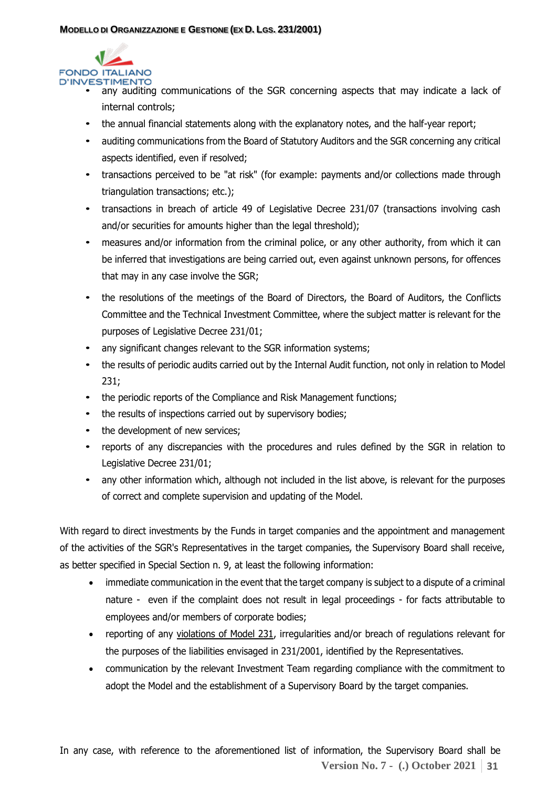

- any auditing communications of the SGR concerning aspects that may indicate a lack of internal controls;
	- the annual financial statements along with the explanatory notes, and the half-year report;
	- auditing communications from the Board of Statutory Auditors and the SGR concerning any critical aspects identified, even if resolved;
	- transactions perceived to be "at risk" (for example: payments and/or collections made through triangulation transactions; etc.);
	- transactions in breach of article 49 of Legislative Decree 231/07 (transactions involving cash and/or securities for amounts higher than the legal threshold);
	- measures and/or information from the criminal police, or any other authority, from which it can be inferred that investigations are being carried out, even against unknown persons, for offences that may in any case involve the SGR;
	- the resolutions of the meetings of the Board of Directors, the Board of Auditors, the Conflicts Committee and the Technical Investment Committee, where the subject matter is relevant for the purposes of Legislative Decree 231/01;
	- any significant changes relevant to the SGR information systems;
	- the results of periodic audits carried out by the Internal Audit function, not only in relation to Model 231;
	- the periodic reports of the Compliance and Risk Management functions;
	- the results of inspections carried out by supervisory bodies;
	- the development of new services;
	- reports of any discrepancies with the procedures and rules defined by the SGR in relation to Legislative Decree 231/01;
	- any other information which, although not included in the list above, is relevant for the purposes of correct and complete supervision and updating of the Model.

With regard to direct investments by the Funds in target companies and the appointment and management of the activities of the SGR's Representatives in the target companies, the Supervisory Board shall receive, as better specified in Special Section n. 9, at least the following information:

- immediate communication in the event that the target company is subject to a dispute of a criminal nature - even if the complaint does not result in legal proceedings - for facts attributable to employees and/or members of corporate bodies;
- reporting of any violations of Model 231, irregularities and/or breach of regulations relevant for the purposes of the liabilities envisaged in 231/2001, identified by the Representatives.
- communication by the relevant Investment Team regarding compliance with the commitment to adopt the Model and the establishment of a Supervisory Board by the target companies.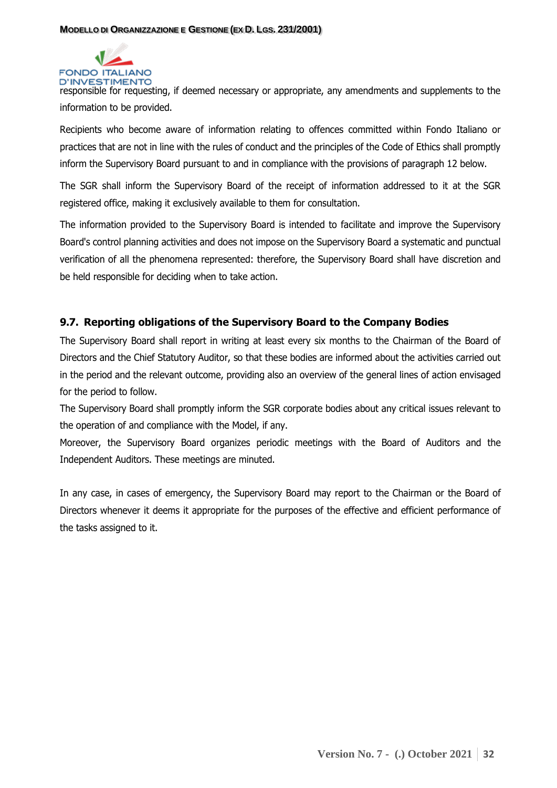

responsible for requesting, if deemed necessary or appropriate, any amendments and supplements to the information to be provided.

Recipients who become aware of information relating to offences committed within Fondo Italiano or practices that are not in line with the rules of conduct and the principles of the Code of Ethics shall promptly inform the Supervisory Board pursuant to and in compliance with the provisions of paragraph 12 below.

The SGR shall inform the Supervisory Board of the receipt of information addressed to it at the SGR registered office, making it exclusively available to them for consultation.

The information provided to the Supervisory Board is intended to facilitate and improve the Supervisory Board's control planning activities and does not impose on the Supervisory Board a systematic and punctual verification of all the phenomena represented: therefore, the Supervisory Board shall have discretion and be held responsible for deciding when to take action.

# <span id="page-31-0"></span>**9.7. Reporting obligations of the Supervisory Board to the Company Bodies**

The Supervisory Board shall report in writing at least every six months to the Chairman of the Board of Directors and the Chief Statutory Auditor, so that these bodies are informed about the activities carried out in the period and the relevant outcome, providing also an overview of the general lines of action envisaged for the period to follow.

The Supervisory Board shall promptly inform the SGR corporate bodies about any critical issues relevant to the operation of and compliance with the Model, if any.

Moreover, the Supervisory Board organizes periodic meetings with the Board of Auditors and the Independent Auditors. These meetings are minuted.

In any case, in cases of emergency, the Supervisory Board may report to the Chairman or the Board of Directors whenever it deems it appropriate for the purposes of the effective and efficient performance of the tasks assigned to it.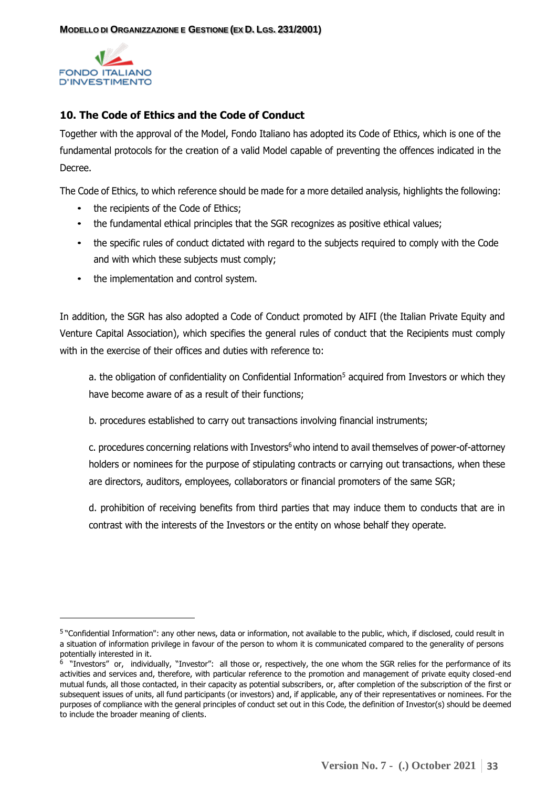

## <span id="page-32-0"></span>**10. The Code of Ethics and the Code of Conduct**

Together with the approval of the Model, Fondo Italiano has adopted its Code of Ethics, which is one of the fundamental protocols for the creation of a valid Model capable of preventing the offences indicated in the Decree.

The Code of Ethics, to which reference should be made for a more detailed analysis, highlights the following:

- the recipients of the Code of Ethics;
- the fundamental ethical principles that the SGR recognizes as positive ethical values;
- the specific rules of conduct dictated with regard to the subjects required to comply with the Code and with which these subjects must comply;
- the implementation and control system.

In addition, the SGR has also adopted a Code of Conduct promoted by AIFI (the Italian Private Equity and Venture Capital Association), which specifies the general rules of conduct that the Recipients must comply with in the exercise of their offices and duties with reference to:

a. the obligation of confidentiality on Confidential Information<sup>5</sup> acquired from Investors or which they have become aware of as a result of their functions;

b. procedures established to carry out transactions involving financial instruments;

c. procedures concerning relations with Investors<sup>6</sup> who intend to avail themselves of power-of-attorney holders or nominees for the purpose of stipulating contracts or carrying out transactions, when these are directors, auditors, employees, collaborators or financial promoters of the same SGR;

d. prohibition of receiving benefits from third parties that may induce them to conducts that are in contrast with the interests of the Investors or the entity on whose behalf they operate.

<sup>&</sup>lt;sup>5</sup> "Confidential Information": any other news, data or information, not available to the public, which, if disclosed, could result in a situation of information privilege in favour of the person to whom it is communicated compared to the generality of persons potentially interested in it.

<sup>&</sup>lt;sup>6</sup> "Investors" or, individually, "Investor": all those or, respectively, the one whom the SGR relies for the performance of its activities and services and, therefore, with particular reference to the promotion and management of private equity closed-end mutual funds, all those contacted, in their capacity as potential subscribers, or, after completion of the subscription of the first or subsequent issues of units, all fund participants (or investors) and, if applicable, any of their representatives or nominees. For the purposes of compliance with the general principles of conduct set out in this Code, the definition of Investor(s) should be deemed to include the broader meaning of clients.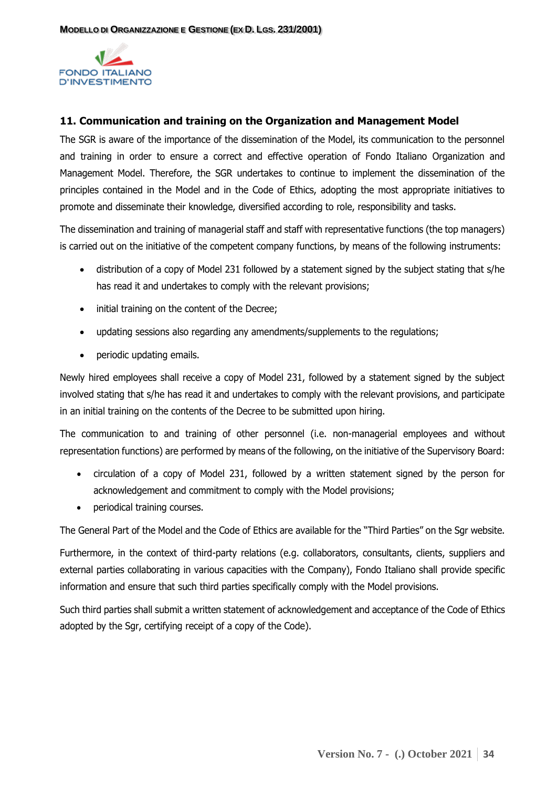

## <span id="page-33-0"></span>**11. Communication and training on the Organization and Management Model**

The SGR is aware of the importance of the dissemination of the Model, its communication to the personnel and training in order to ensure a correct and effective operation of Fondo Italiano Organization and Management Model. Therefore, the SGR undertakes to continue to implement the dissemination of the principles contained in the Model and in the Code of Ethics, adopting the most appropriate initiatives to promote and disseminate their knowledge, diversified according to role, responsibility and tasks.

The dissemination and training of managerial staff and staff with representative functions (the top managers) is carried out on the initiative of the competent company functions, by means of the following instruments:

- distribution of a copy of Model 231 followed by a statement signed by the subject stating that s/he has read it and undertakes to comply with the relevant provisions;
- initial training on the content of the Decree;
- updating sessions also regarding any amendments/supplements to the regulations;
- periodic updating emails.

Newly hired employees shall receive a copy of Model 231, followed by a statement signed by the subject involved stating that s/he has read it and undertakes to comply with the relevant provisions, and participate in an initial training on the contents of the Decree to be submitted upon hiring.

The communication to and training of other personnel (i.e. non-managerial employees and without representation functions) are performed by means of the following, on the initiative of the Supervisory Board:

- circulation of a copy of Model 231, followed by a written statement signed by the person for acknowledgement and commitment to comply with the Model provisions;
- periodical training courses.

The General Part of the Model and the Code of Ethics are available for the "Third Parties" on the Sgr website.

Furthermore, in the context of third-party relations (e.g. collaborators, consultants, clients, suppliers and external parties collaborating in various capacities with the Company), Fondo Italiano shall provide specific information and ensure that such third parties specifically comply with the Model provisions.

Such third parties shall submit a written statement of acknowledgement and acceptance of the Code of Ethics adopted by the Sgr, certifying receipt of a copy of the Code).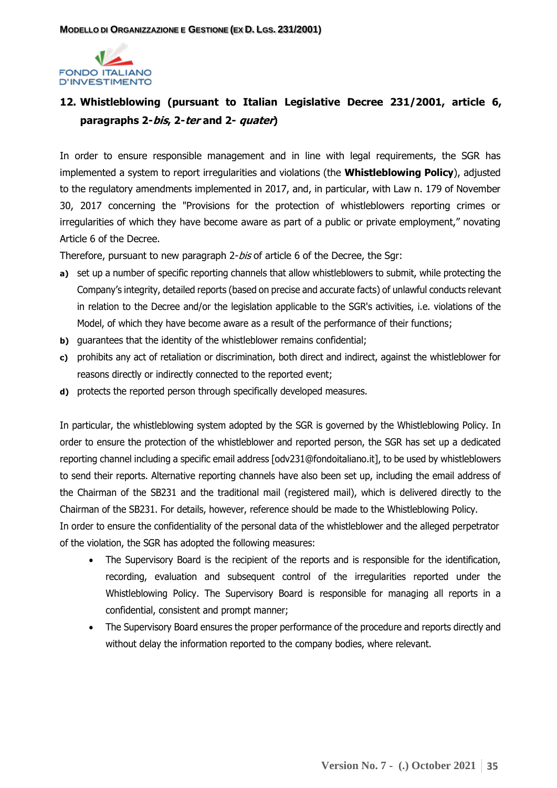

# <span id="page-34-0"></span>**12. Whistleblowing (pursuant to Italian Legislative Decree 231/2001, article 6, paragraphs 2-bis, 2-ter and 2- quater)**

In order to ensure responsible management and in line with legal requirements, the SGR has implemented a system to report irregularities and violations (the **Whistleblowing Policy**), adjusted to the regulatory amendments implemented in 2017, and, in particular, with Law n. 179 of November 30, 2017 concerning the "Provisions for the protection of whistleblowers reporting crimes or irregularities of which they have become aware as part of a public or private employment," novating Article 6 of the Decree.

Therefore, pursuant to new paragraph 2-bis of article 6 of the Decree, the Sgr:

- **a)** set up a number of specific reporting channels that allow whistleblowers to submit, while protecting the Company's integrity, detailed reports (based on precise and accurate facts) of unlawful conducts relevant in relation to the Decree and/or the legislation applicable to the SGR's activities, i.e. violations of the Model, of which they have become aware as a result of the performance of their functions;
- **b)** guarantees that the identity of the whistleblower remains confidential;
- **c)** prohibits any act of retaliation or discrimination, both direct and indirect, against the whistleblower for reasons directly or indirectly connected to the reported event;
- **d)** protects the reported person through specifically developed measures.

In particular, the whistleblowing system adopted by the SGR is governed by the Whistleblowing Policy. In order to ensure the protection of the whistleblower and reported person, the SGR has set up a dedicated reporting channel including a specific email address [odv231@fondoitaliano.it], to be used by whistleblowers to send their reports. Alternative reporting channels have also been set up, including the email address of the Chairman of the SB231 and the traditional mail (registered mail), which is delivered directly to the Chairman of the SB231. For details, however, reference should be made to the Whistleblowing Policy.

In order to ensure the confidentiality of the personal data of the whistleblower and the alleged perpetrator of the violation, the SGR has adopted the following measures:

- The Supervisory Board is the recipient of the reports and is responsible for the identification, recording, evaluation and subsequent control of the irregularities reported under the Whistleblowing Policy. The Supervisory Board is responsible for managing all reports in a confidential, consistent and prompt manner;
- The Supervisory Board ensures the proper performance of the procedure and reports directly and without delay the information reported to the company bodies, where relevant.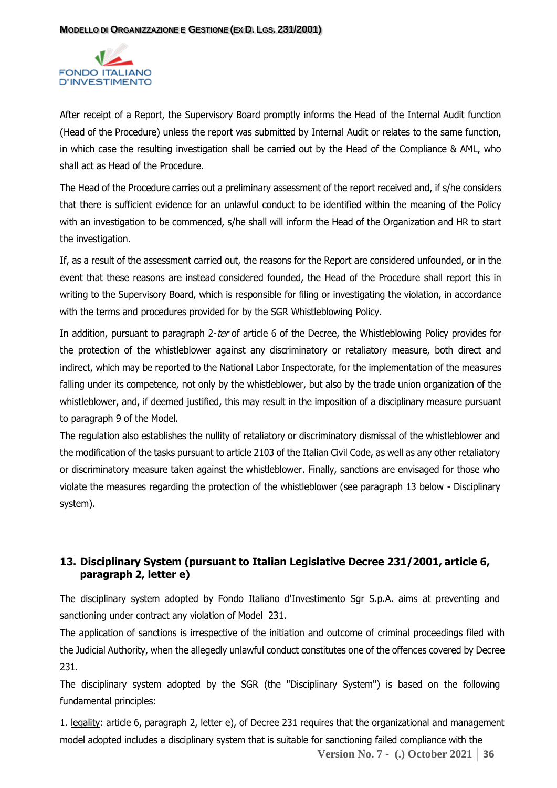

After receipt of a Report, the Supervisory Board promptly informs the Head of the Internal Audit function (Head of the Procedure) unless the report was submitted by Internal Audit or relates to the same function, in which case the resulting investigation shall be carried out by the Head of the Compliance & AML, who shall act as Head of the Procedure.

The Head of the Procedure carries out a preliminary assessment of the report received and, if s/he considers that there is sufficient evidence for an unlawful conduct to be identified within the meaning of the Policy with an investigation to be commenced, s/he shall will inform the Head of the Organization and HR to start the investigation.

If, as a result of the assessment carried out, the reasons for the Report are considered unfounded, or in the event that these reasons are instead considered founded, the Head of the Procedure shall report this in writing to the Supervisory Board, which is responsible for filing or investigating the violation, in accordance with the terms and procedures provided for by the SGR Whistleblowing Policy.

In addition, pursuant to paragraph 2-ter of article 6 of the Decree, the Whistleblowing Policy provides for the protection of the whistleblower against any discriminatory or retaliatory measure, both direct and indirect, which may be reported to the National Labor Inspectorate, for the implementation of the measures falling under its competence, not only by the whistleblower, but also by the trade union organization of the whistleblower, and, if deemed justified, this may result in the imposition of a disciplinary measure pursuant to paragraph 9 of the Model.

The regulation also establishes the nullity of retaliatory or discriminatory dismissal of the whistleblower and the modification of the tasks pursuant to article 2103 of the Italian Civil Code, as well as any other retaliatory or discriminatory measure taken against the whistleblower. Finally, sanctions are envisaged for those who violate the measures regarding the protection of the whistleblower (see paragraph 13 below - Disciplinary system).

# <span id="page-35-0"></span>**13. Disciplinary System (pursuant to Italian Legislative Decree 231/2001, article 6, paragraph 2, letter e)**

The disciplinary system adopted by Fondo Italiano d'Investimento Sgr S.p.A. aims at preventing and sanctioning under contract any violation of Model 231.

The application of sanctions is irrespective of the initiation and outcome of criminal proceedings filed with the Judicial Authority, when the allegedly unlawful conduct constitutes one of the offences covered by Decree 231.

The disciplinary system adopted by the SGR (the "Disciplinary System") is based on the following fundamental principles:

1. legality: article 6, paragraph 2, letter e), of Decree 231 requires that the organizational and management model adopted includes a disciplinary system that is suitable for sanctioning failed compliance with the

**Version No. 7 - (.) October 2021 36**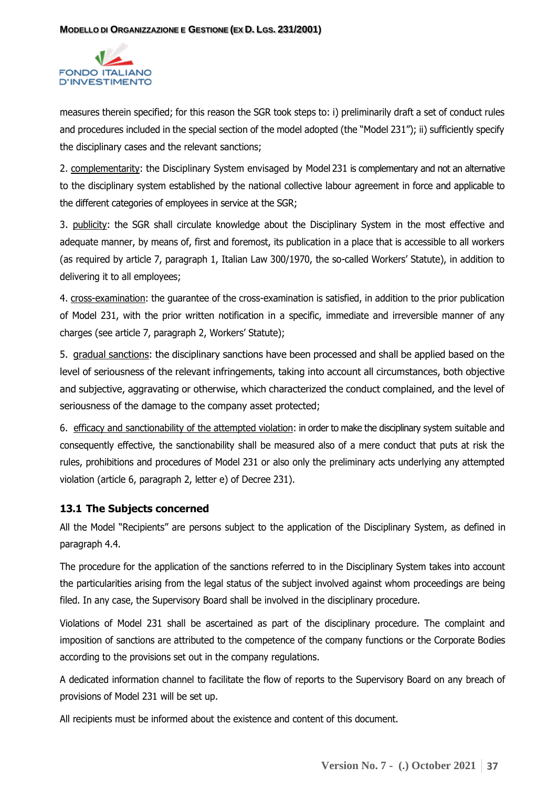

measures therein specified; for this reason the SGR took steps to: i) preliminarily draft a set of conduct rules and procedures included in the special section of the model adopted (the "Model 231"); ii) sufficiently specify the disciplinary cases and the relevant sanctions;

2. complementarity: the Disciplinary System envisaged by Model 231 is complementary and not an alternative to the disciplinary system established by the national collective labour agreement in force and applicable to the different categories of employees in service at the SGR;

3. publicity: the SGR shall circulate knowledge about the Disciplinary System in the most effective and adequate manner, by means of, first and foremost, its publication in a place that is accessible to all workers (as required by article 7, paragraph 1, Italian Law 300/1970, the so-called Workers' Statute), in addition to delivering it to all employees;

4. cross-examination: the guarantee of the cross-examination is satisfied, in addition to the prior publication of Model 231, with the prior written notification in a specific, immediate and irreversible manner of any charges (see article 7, paragraph 2, Workers' Statute);

5. gradual sanctions: the disciplinary sanctions have been processed and shall be applied based on the level of seriousness of the relevant infringements, taking into account all circumstances, both objective and subjective, aggravating or otherwise, which characterized the conduct complained, and the level of seriousness of the damage to the company asset protected;

6. efficacy and sanctionability of the attempted violation: in order to make the disciplinary system suitable and consequently effective, the sanctionability shall be measured also of a mere conduct that puts at risk the rules, prohibitions and procedures of Model 231 or also only the preliminary acts underlying any attempted violation (article 6, paragraph 2, letter e) of Decree 231).

## <span id="page-36-0"></span>**13.1 The Subjects concerned**

All the Model "Recipients" are persons subject to the application of the Disciplinary System, as defined in paragraph 4.4.

The procedure for the application of the sanctions referred to in the Disciplinary System takes into account the particularities arising from the legal status of the subject involved against whom proceedings are being filed. In any case, the Supervisory Board shall be involved in the disciplinary procedure.

Violations of Model 231 shall be ascertained as part of the disciplinary procedure. The complaint and imposition of sanctions are attributed to the competence of the company functions or the Corporate Bodies according to the provisions set out in the company regulations.

A dedicated information channel to facilitate the flow of reports to the Supervisory Board on any breach of provisions of Model 231 will be set up.

All recipients must be informed about the existence and content of this document.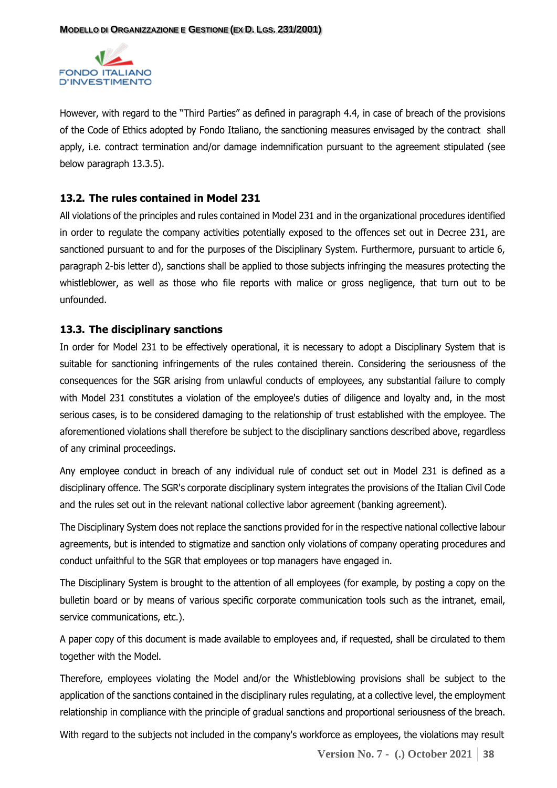

However, with regard to the "Third Parties" as defined in paragraph 4.4, in case of breach of the provisions of the Code of Ethics adopted by Fondo Italiano, the sanctioning measures envisaged by the contract shall apply, i.e. contract termination and/or damage indemnification pursuant to the agreement stipulated (see below paragraph 13.3.5).

#### <span id="page-37-0"></span>**13.2. The rules contained in Model 231**

All violations of the principles and rules contained in Model 231 and in the organizational procedures identified in order to regulate the company activities potentially exposed to the offences set out in Decree 231, are sanctioned pursuant to and for the purposes of the Disciplinary System. Furthermore, pursuant to article 6, paragraph 2-bis letter d), sanctions shall be applied to those subjects infringing the measures protecting the whistleblower, as well as those who file reports with malice or gross negligence, that turn out to be unfounded.

#### <span id="page-37-1"></span>**13.3. The disciplinary sanctions**

In order for Model 231 to be effectively operational, it is necessary to adopt a Disciplinary System that is suitable for sanctioning infringements of the rules contained therein. Considering the seriousness of the consequences for the SGR arising from unlawful conducts of employees, any substantial failure to comply with Model 231 constitutes a violation of the employee's duties of diligence and loyalty and, in the most serious cases, is to be considered damaging to the relationship of trust established with the employee. The aforementioned violations shall therefore be subject to the disciplinary sanctions described above, regardless of any criminal proceedings.

Any employee conduct in breach of any individual rule of conduct set out in Model 231 is defined as a disciplinary offence. The SGR's corporate disciplinary system integrates the provisions of the Italian Civil Code and the rules set out in the relevant national collective labor agreement (banking agreement).

The Disciplinary System does not replace the sanctions provided for in the respective national collective labour agreements, but is intended to stigmatize and sanction only violations of company operating procedures and conduct unfaithful to the SGR that employees or top managers have engaged in.

The Disciplinary System is brought to the attention of all employees (for example, by posting a copy on the bulletin board or by means of various specific corporate communication tools such as the intranet, email, service communications, etc.).

A paper copy of this document is made available to employees and, if requested, shall be circulated to them together with the Model.

Therefore, employees violating the Model and/or the Whistleblowing provisions shall be subject to the application of the sanctions contained in the disciplinary rules regulating, at a collective level, the employment relationship in compliance with the principle of gradual sanctions and proportional seriousness of the breach.

With regard to the subjects not included in the company's workforce as employees, the violations may result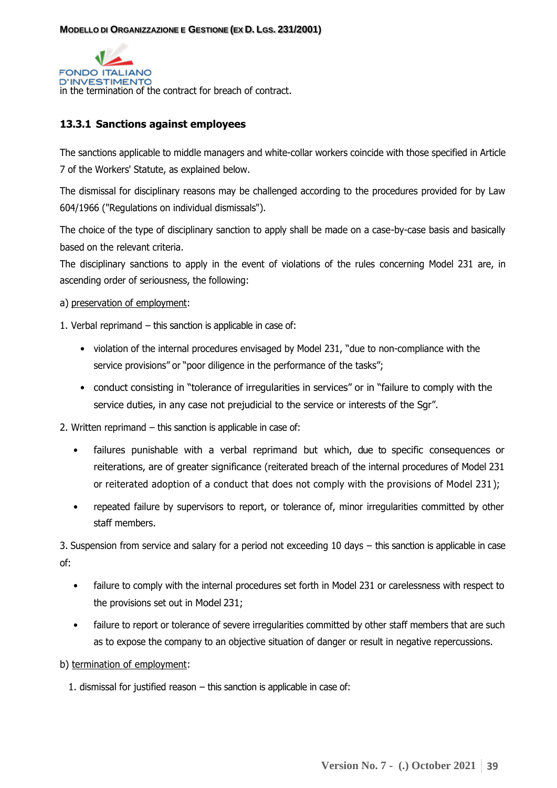

# <span id="page-38-0"></span>**13.3.1 Sanctions against employees**

The sanctions applicable to middle managers and white-collar workers coincide with those specified in Article 7 of the Workers' Statute, as explained below.

The dismissal for disciplinary reasons may be challenged according to the procedures provided for by Law 604/1966 ("Regulations on individual dismissals").

The choice of the type of disciplinary sanction to apply shall be made on a case-by-case basis and basically based on the relevant criteria.

The disciplinary sanctions to apply in the event of violations of the rules concerning Model 231 are, in ascending order of seriousness, the following:

a) preservation of employment:

1. Verbal reprimand – this sanction is applicable in case of:

- violation of the internal procedures envisaged by Model 231, "due to non-compliance with the service provisions" or "poor diligence in the performance of the tasks";
- conduct consisting in "tolerance of irregularities in services" or in "failure to comply with the service duties, in any case not prejudicial to the service or interests of the Sgr".

2. Written reprimand – this sanction is applicable in case of:

- failures punishable with a verbal reprimand but which, due to specific consequences or reiterations, are of greater significance (reiterated breach of the internal procedures of Model 231 or reiterated adoption of a conduct that does not comply with the provisions of Model 231);
- repeated failure by supervisors to report, or tolerance of, minor irregularities committed by other staff members.

3. Suspension from service and salary for a period not exceeding 10 days – this sanction is applicable in case of:

- failure to comply with the internal procedures set forth in Model 231 or carelessness with respect to the provisions set out in Model 231;
- failure to report or tolerance of severe irregularities committed by other staff members that are such as to expose the company to an objective situation of danger or result in negative repercussions.
- b) termination of employment:
	- 1. dismissal for justified reason this sanction is applicable in case of: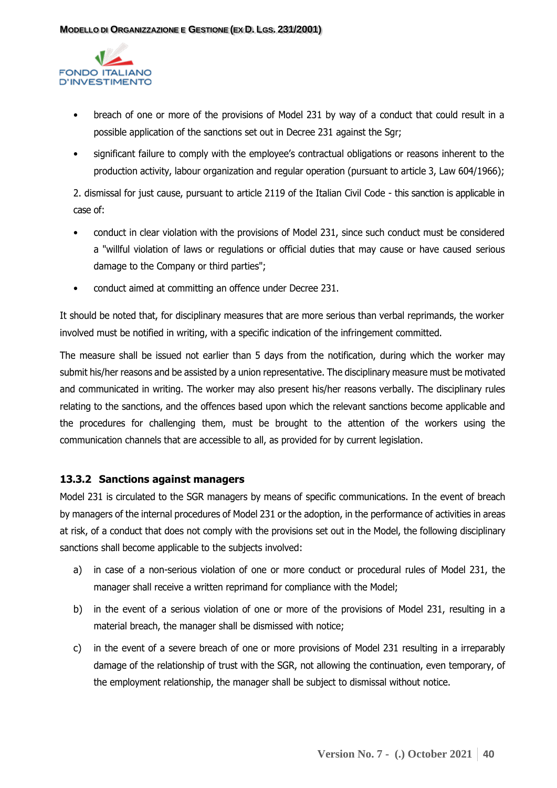

- breach of one or more of the provisions of Model 231 by way of a conduct that could result in a possible application of the sanctions set out in Decree 231 against the Sgr;
- significant failure to comply with the employee's contractual obligations or reasons inherent to the production activity, labour organization and regular operation (pursuant to article 3, Law 604/1966);

2. dismissal for just cause, pursuant to article 2119 of the Italian Civil Code - this sanction is applicable in case of:

- conduct in clear violation with the provisions of Model 231, since such conduct must be considered a "willful violation of laws or regulations or official duties that may cause or have caused serious damage to the Company or third parties";
- conduct aimed at committing an offence under Decree 231.

It should be noted that, for disciplinary measures that are more serious than verbal reprimands, the worker involved must be notified in writing, with a specific indication of the infringement committed.

The measure shall be issued not earlier than 5 days from the notification, during which the worker may submit his/her reasons and be assisted by a union representative. The disciplinary measure must be motivated and communicated in writing. The worker may also present his/her reasons verbally. The disciplinary rules relating to the sanctions, and the offences based upon which the relevant sanctions become applicable and the procedures for challenging them, must be brought to the attention of the workers using the communication channels that are accessible to all, as provided for by current legislation.

## <span id="page-39-0"></span>**13.3.2 Sanctions against managers**

Model 231 is circulated to the SGR managers by means of specific communications. In the event of breach by managers of the internal procedures of Model 231 or the adoption, in the performance of activities in areas at risk, of a conduct that does not comply with the provisions set out in the Model, the following disciplinary sanctions shall become applicable to the subjects involved:

- a) in case of a non-serious violation of one or more conduct or procedural rules of Model 231, the manager shall receive a written reprimand for compliance with the Model;
- b) in the event of a serious violation of one or more of the provisions of Model 231, resulting in a material breach, the manager shall be dismissed with notice;
- c) in the event of a severe breach of one or more provisions of Model 231 resulting in a irreparably damage of the relationship of trust with the SGR, not allowing the continuation, even temporary, of the employment relationship, the manager shall be subject to dismissal without notice.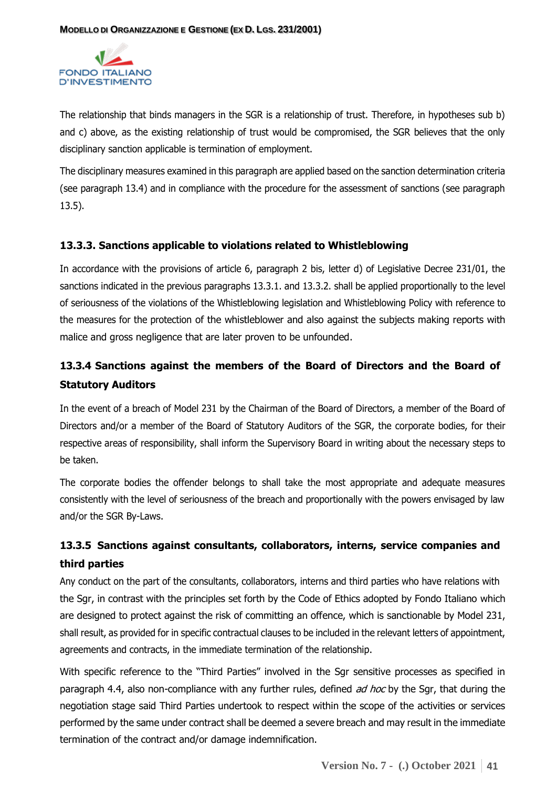

The relationship that binds managers in the SGR is a relationship of trust. Therefore, in hypotheses sub b) and c) above, as the existing relationship of trust would be compromised, the SGR believes that the only disciplinary sanction applicable is termination of employment.

The disciplinary measures examined in this paragraph are applied based on the sanction determination criteria (see paragraph 13.4) and in compliance with the procedure for the assessment of sanctions (see paragraph 13.5).

#### **13.3.3. Sanctions applicable to violations related to Whistleblowing**

In accordance with the provisions of article 6, paragraph 2 bis, letter d) of Legislative Decree 231/01, the sanctions indicated in the previous paragraphs 13.3.1. and 13.3.2. shall be applied proportionally to the level of seriousness of the violations of the Whistleblowing legislation and Whistleblowing Policy with reference to the measures for the protection of the whistleblower and also against the subjects making reports with malice and gross negligence that are later proven to be unfounded.

# **13.3.4 Sanctions against the members of the Board of Directors and the Board of Statutory Auditors**

In the event of a breach of Model 231 by the Chairman of the Board of Directors, a member of the Board of Directors and/or a member of the Board of Statutory Auditors of the SGR, the corporate bodies, for their respective areas of responsibility, shall inform the Supervisory Board in writing about the necessary steps to be taken.

The corporate bodies the offender belongs to shall take the most appropriate and adequate measures consistently with the level of seriousness of the breach and proportionally with the powers envisaged by law and/or the SGR By-Laws.

# **13.3.5 Sanctions against consultants, collaborators, interns, service companies and third parties**

Any conduct on the part of the consultants, collaborators, interns and third parties who have relations with the Sgr, in contrast with the principles set forth by the Code of Ethics adopted by Fondo Italiano which are designed to protect against the risk of committing an offence, which is sanctionable by Model 231, shall result, as provided for in specific contractual clauses to be included in the relevant letters of appointment, agreements and contracts, in the immediate termination of the relationship.

With specific reference to the "Third Parties" involved in the Sgr sensitive processes as specified in paragraph 4.4, also non-compliance with any further rules, defined *ad hoc* by the Sgr, that during the negotiation stage said Third Parties undertook to respect within the scope of the activities or services performed by the same under contract shall be deemed a severe breach and may result in the immediate termination of the contract and/or damage indemnification.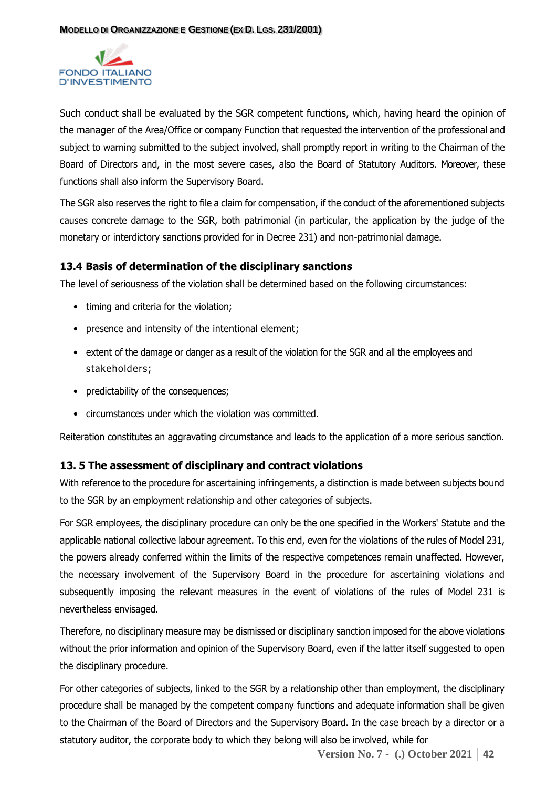

<span id="page-41-0"></span>Such conduct shall be evaluated by the SGR competent functions, which, having heard the opinion of the manager of the Area/Office or company Function that requested the intervention of the professional and subject to warning submitted to the subject involved, shall promptly report in writing to the Chairman of the Board of Directors and, in the most severe cases, also the Board of Statutory Auditors. Moreover, these functions shall also inform the Supervisory Board.

The SGR also reserves the right to file a claim for compensation, if the conduct of the aforementioned subjects causes concrete damage to the SGR, both patrimonial (in particular, the application by the judge of the monetary or interdictory sanctions provided for in Decree 231) and non-patrimonial damage.

#### **13.4 Basis of determination of the disciplinary sanctions**

The level of seriousness of the violation shall be determined based on the following circumstances:

- <span id="page-41-1"></span>• timing and criteria for the violation;
- presence and intensity of the intentional element;
- extent of the damage or danger as a result of the violation for the SGR and all the employees and stakeholders;
- predictability of the consequences;
- circumstances under which the violation was committed.

Reiteration constitutes an aggravating circumstance and leads to the application of a more serious sanction.

## **13. 5 The assessment of disciplinary and contract violations**

With reference to the procedure for ascertaining infringements, a distinction is made between subjects bound to the SGR by an employment relationship and other categories of subjects.

For SGR employees, the disciplinary procedure can only be the one specified in the Workers' Statute and the applicable national collective labour agreement. To this end, even for the violations of the rules of Model 231, the powers already conferred within the limits of the respective competences remain unaffected. However, the necessary involvement of the Supervisory Board in the procedure for ascertaining violations and subsequently imposing the relevant measures in the event of violations of the rules of Model 231 is nevertheless envisaged.

Therefore, no disciplinary measure may be dismissed or disciplinary sanction imposed for the above violations without the prior information and opinion of the Supervisory Board, even if the latter itself suggested to open the disciplinary procedure.

For other categories of subjects, linked to the SGR by a relationship other than employment, the disciplinary procedure shall be managed by the competent company functions and adequate information shall be given to the Chairman of the Board of Directors and the Supervisory Board. In the case breach by a director or a statutory auditor, the corporate body to which they belong will also be involved, while for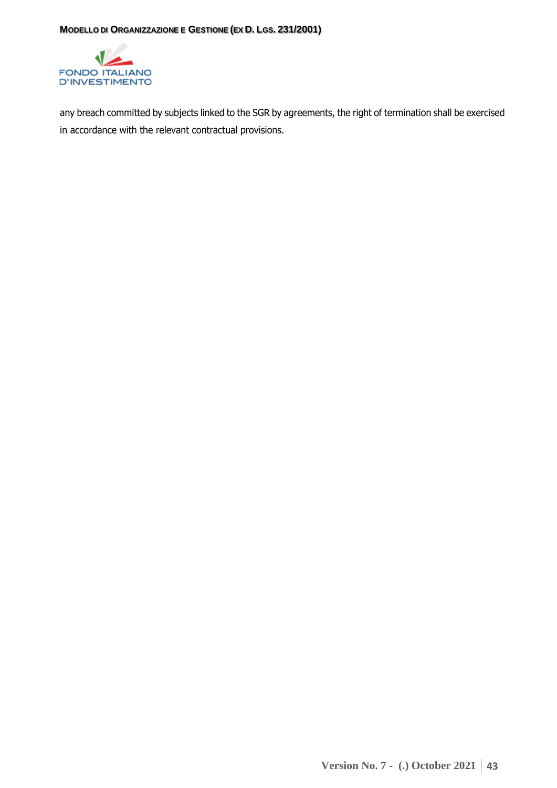

any breach committed by subjects linked to the SGR by agreements, the right of termination shall be exercised in accordance with the relevant contractual provisions.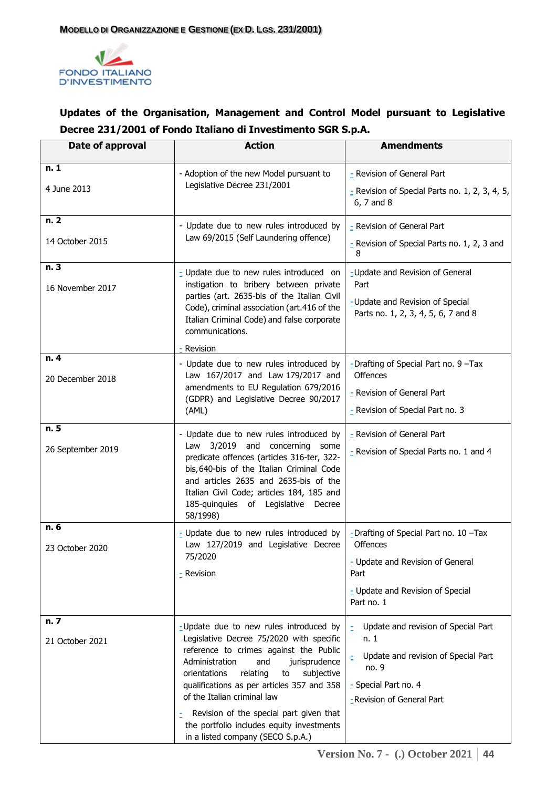

# **Updates of the Organisation, Management and Control Model pursuant to Legislative Decree 231/2001 of Fondo Italiano di Investimento SGR S.p.A.**

| Date of approval         | <b>Action</b>                                                                                                                                                                                                                                                                                                                                                                                                                    | <b>Amendments</b>                                                                                                                                |
|--------------------------|----------------------------------------------------------------------------------------------------------------------------------------------------------------------------------------------------------------------------------------------------------------------------------------------------------------------------------------------------------------------------------------------------------------------------------|--------------------------------------------------------------------------------------------------------------------------------------------------|
| n.1<br>4 June 2013       | - Adoption of the new Model pursuant to<br>Legislative Decree 231/2001                                                                                                                                                                                                                                                                                                                                                           | - Revision of General Part<br>$\overline{z}$ Revision of Special Parts no. 1, 2, 3, 4, 5,<br>6, 7 and 8                                          |
| n. 2<br>14 October 2015  | - Update due to new rules introduced by<br>Law 69/2015 (Self Laundering offence)                                                                                                                                                                                                                                                                                                                                                 | - Revision of General Part<br>- Revision of Special Parts no. 1, 2, 3 and<br>8                                                                   |
| n.3<br>16 November 2017  | - Update due to new rules introduced on<br>instigation to bribery between private<br>parties (art. 2635-bis of the Italian Civil<br>Code), criminal association (art.416 of the<br>Italian Criminal Code) and false corporate<br>communications.<br>- Revision                                                                                                                                                                   | -Update and Revision of General<br>Part<br>-Update and Revision of Special<br>Parts no. 1, 2, 3, 4, 5, 6, 7 and 8                                |
| n.4<br>20 December 2018  | - Update due to new rules introduced by<br>Law 167/2017 and Law 179/2017 and<br>amendments to EU Regulation 679/2016<br>(GDPR) and Legislative Decree 90/2017<br>(AML)                                                                                                                                                                                                                                                           | -Drafting of Special Part no. 9 -Tax<br><b>Offences</b><br>- Revision of General Part<br>- Revision of Special Part no. 3                        |
| n.5<br>26 September 2019 | - Update due to new rules introduced by<br>Law 3/2019 and concerning<br>some<br>predicate offences (articles 316-ter, 322-<br>bis, 640-bis of the Italian Criminal Code<br>and articles 2635 and 2635-bis of the<br>Italian Civil Code; articles 184, 185 and<br>185-quinquies of Legislative Decree<br>58/1998)                                                                                                                 | - Revision of General Part<br>- Revision of Special Parts no. 1 and 4                                                                            |
| n.6<br>23 October 2020   | - Update due to new rules introduced by<br>Law 127/2019 and Legislative Decree<br>75/2020<br>- Revision                                                                                                                                                                                                                                                                                                                          | -Drafting of Special Part no. 10 -Tax<br>Offences<br>- Update and Revision of General<br>Part<br>- Update and Revision of Special<br>Part no. 1  |
| n. 7<br>21 October 2021  | -Update due to new rules introduced by<br>Legislative Decree 75/2020 with specific<br>reference to crimes against the Public<br>Administration<br>jurisprudence<br>and<br>orientations<br>relating<br>subjective<br>to<br>qualifications as per articles 357 and 358<br>of the Italian criminal law<br>Revision of the special part given that<br>the portfolio includes equity investments<br>in a listed company (SECO S.p.A.) | Update and revision of Special Part<br>n. 1<br>Update and revision of Special Part<br>no. 9<br>- Special Part no. 4<br>-Revision of General Part |